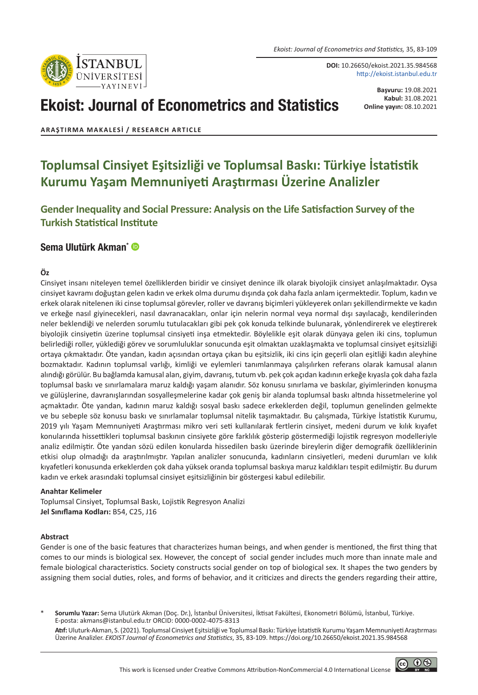

**DOI:** 10.26650/ekoist.2021.35.984568 http://ekoist.istanbul.edu.tr

# Ekoist: Journal of Econometrics and Statistics

**Başvuru:** 19.08.2021 **Kabul:** 31.08.2021 **Online yayın:** 08.10.2021

**ARAŞTIRMA MAKALESI / RESEARCH ARTICLE**

## **Toplumsal Cinsiyet Eşitsizliği ve Toplumsal Baskı: Türkiye İstatistik Kurumu Yaşam Memnuniyeti Araştırması Üzerine Analizler**

**Gender Inequality and Social Pressure: Analysis on the Life Satisfaction Survey of the Turkish Statistical Institute**

#### [Sema Ulutürk Akman\\*](https://orcid.org/0000-0002-4075-8313)

#### **Öz**

Cinsiyet insanı niteleyen temel özelliklerden biridir ve cinsiyet denince ilk olarak biyolojik cinsiyet anlaşılmaktadır. Oysa cinsiyet kavramı doğuştan gelen kadın ve erkek olma durumu dışında çok daha fazla anlam içermektedir. Toplum, kadın ve erkek olarak nitelenen iki cinse toplumsal görevler, roller ve davranış biçimleri yükleyerek onları şekillendirmekte ve kadın ve erkeğe nasıl giyinecekleri, nasıl davranacakları, onlar için nelerin normal veya normal dışı sayılacağı, kendilerinden neler beklendiği ve nelerden sorumlu tutulacakları gibi pek çok konuda telkinde bulunarak, yönlendirerek ve eleştirerek biyolojik cinsiyetin üzerine toplumsal cinsiyeti inşa etmektedir. Böylelikle eşit olarak dünyaya gelen iki cins, toplumun belirlediği roller, yüklediği görev ve sorumluluklar sonucunda eşit olmaktan uzaklaşmakta ve toplumsal cinsiyet eşitsizliği ortaya çıkmaktadır. Öte yandan, kadın açısından ortaya çıkan bu eşitsizlik, iki cins için geçerli olan eşitliği kadın aleyhine bozmaktadır. Kadının toplumsal varlığı, kimliği ve eylemleri tanımlanmaya çalışılırken referans olarak kamusal alanın alındığı görülür. Bu bağlamda kamusal alan, giyim, davranış, tutum vb. pek çok açıdan kadının erkeğe kıyasla çok daha fazla toplumsal baskı ve sınırlamalara maruz kaldığı yaşam alanıdır. Söz konusu sınırlama ve baskılar, giyimlerinden konuşma ve gülüşlerine, davranışlarından sosyalleşmelerine kadar çok geniş bir alanda toplumsal baskı altında hissetmelerine yol açmaktadır. Öte yandan, kadının maruz kaldığı sosyal baskı sadece erkeklerden değil, toplumun genelinden gelmekte ve bu sebeple söz konusu baskı ve sınırlamalar toplumsal nitelik taşımaktadır. Bu çalışmada, Türkiye İstatistik Kurumu, 2019 yılı Yaşam Memnuniyeti Araştırması mikro veri seti kullanılarak fertlerin cinsiyet, medeni durum ve kılık kıyafet konularında hissettikleri toplumsal baskının cinsiyete göre farklılık gösterip göstermediği lojistik regresyon modelleriyle analiz edilmiştir. Öte yandan sözü edilen konularda hissedilen baskı üzerinde bireylerin diğer demografik özelliklerinin etkisi olup olmadığı da araştırılmıştır. Yapılan analizler sonucunda, kadınların cinsiyetleri, medeni durumları ve kılık kıyafetleri konusunda erkeklerden çok daha yüksek oranda toplumsal baskıya maruz kaldıkları tespit edilmiştir. Bu durum kadın ve erkek arasındaki toplumsal cinsiyet eşitsizliğinin bir göstergesi kabul edilebilir.

#### **Anahtar Kelimeler**

Toplumsal Cinsiyet, Toplumsal Baskı, Lojistik Regresyon Analizi **Jel Sınıflama Kodları:** B54, C25, J16

#### **Abstract**

Gender is one of the basic features that characterizes human beings, and when gender is mentioned, the first thing that comes to our minds is biological sex. However, the concept of social gender includes much more than innate male and female biological characteristics. Society constructs social gender on top of biological sex. It shapes the two genders by assigning them social duties, roles, and forms of behavior, and it criticizes and directs the genders regarding their attire,

\* **Sorumlu Yazar:** Sema Ulutürk Akman (Doç. Dr.), İstanbul Üniversitesi, İktisat Fakültesi, Ekonometri Bölümü, İstanbul, Türkiye. E-posta: akmans@istanbul.edu.tr ORCID: 0000-0002-4075-8313

**Atıf:** Uluturk-Akman, S. (2021). Toplumsal Cinsiyet Eşitsizliği ve Toplumsal Baskı: Türkiye İstatistik Kurumu Yaşam Memnuniyeti Araştırması Üzerine Analizler. *EKOIST Journal of Econometrics and Statistics*, 35, 83-109. https://doi.org/10.26650/ekoist.2021.35.984568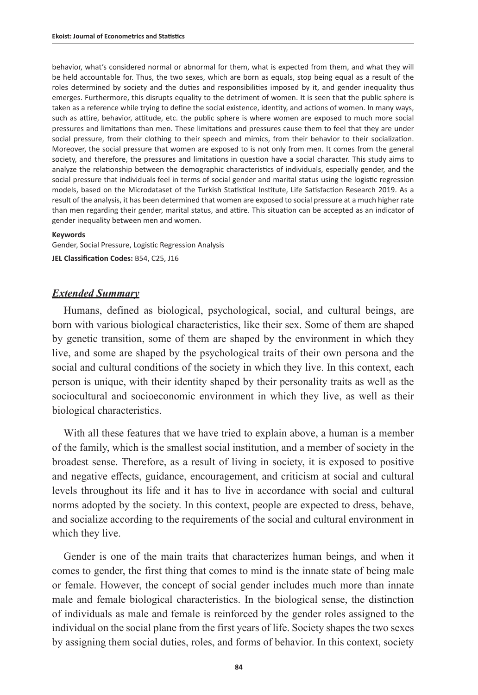behavior, what's considered normal or abnormal for them, what is expected from them, and what they will be held accountable for. Thus, the two sexes, which are born as equals, stop being equal as a result of the roles determined by society and the duties and responsibilities imposed by it, and gender inequality thus emerges. Furthermore, this disrupts equality to the detriment of women. It is seen that the public sphere is taken as a reference while trying to define the social existence, identity, and actions of women. In many ways, such as attire, behavior, attitude, etc. the public sphere is where women are exposed to much more social pressures and limitations than men. These limitations and pressures cause them to feel that they are under social pressure, from their clothing to their speech and mimics, from their behavior to their socialization. Moreover, the social pressure that women are exposed to is not only from men. It comes from the general society, and therefore, the pressures and limitations in question have a social character. This study aims to analyze the relationship between the demographic characteristics of individuals, especially gender, and the social pressure that individuals feel in terms of social gender and marital status using the logistic regression models, based on the Microdataset of the Turkish Statistical Institute, Life Satisfaction Research 2019. As a result of the analysis, it has been determined that women are exposed to social pressure at a much higher rate than men regarding their gender, marital status, and attire. This situation can be accepted as an indicator of gender inequality between men and women.

#### **Keywords**

Gender, Social Pressure, Logistic Regression Analysis **JEL Classification Codes:** B54, C25, J16

#### *Extended Summary*

Humans, defined as biological, psychological, social, and cultural beings, are born with various biological characteristics, like their sex. Some of them are shaped by genetic transition, some of them are shaped by the environment in which they live, and some are shaped by the psychological traits of their own persona and the social and cultural conditions of the society in which they live. In this context, each person is unique, with their identity shaped by their personality traits as well as the sociocultural and socioeconomic environment in which they live, as well as their biological characteristics.

With all these features that we have tried to explain above, a human is a member of the family, which is the smallest social institution, and a member of society in the broadest sense. Therefore, as a result of living in society, it is exposed to positive and negative effects, guidance, encouragement, and criticism at social and cultural levels throughout its life and it has to live in accordance with social and cultural norms adopted by the society. In this context, people are expected to dress, behave, and socialize according to the requirements of the social and cultural environment in which they live.

Gender is one of the main traits that characterizes human beings, and when it comes to gender, the first thing that comes to mind is the innate state of being male or female. However, the concept of social gender includes much more than innate male and female biological characteristics. In the biological sense, the distinction of individuals as male and female is reinforced by the gender roles assigned to the individual on the social plane from the first years of life. Society shapes the two sexes by assigning them social duties, roles, and forms of behavior. In this context, society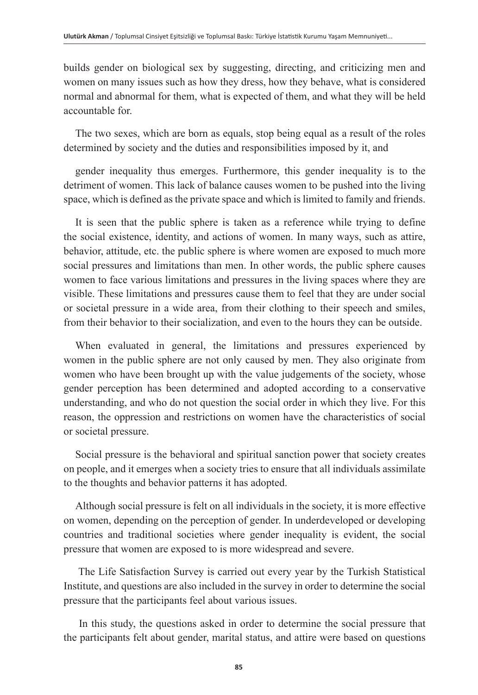builds gender on biological sex by suggesting, directing, and criticizing men and women on many issues such as how they dress, how they behave, what is considered normal and abnormal for them, what is expected of them, and what they will be held accountable for.

The two sexes, which are born as equals, stop being equal as a result of the roles determined by society and the duties and responsibilities imposed by it, and

gender inequality thus emerges. Furthermore, this gender inequality is to the detriment of women. This lack of balance causes women to be pushed into the living space, which is defined as the private space and which is limited to family and friends.

It is seen that the public sphere is taken as a reference while trying to define the social existence, identity, and actions of women. In many ways, such as attire, behavior, attitude, etc. the public sphere is where women are exposed to much more social pressures and limitations than men. In other words, the public sphere causes women to face various limitations and pressures in the living spaces where they are visible. These limitations and pressures cause them to feel that they are under social or societal pressure in a wide area, from their clothing to their speech and smiles, from their behavior to their socialization, and even to the hours they can be outside.

When evaluated in general, the limitations and pressures experienced by women in the public sphere are not only caused by men. They also originate from women who have been brought up with the value judgements of the society, whose gender perception has been determined and adopted according to a conservative understanding, and who do not question the social order in which they live. For this reason, the oppression and restrictions on women have the characteristics of social or societal pressure.

Social pressure is the behavioral and spiritual sanction power that society creates on people, and it emerges when a society tries to ensure that all individuals assimilate to the thoughts and behavior patterns it has adopted.

Although social pressure is felt on all individuals in the society, it is more effective on women, depending on the perception of gender. In underdeveloped or developing countries and traditional societies where gender inequality is evident, the social pressure that women are exposed to is more widespread and severe.

 The Life Satisfaction Survey is carried out every year by the Turkish Statistical Institute, and questions are also included in the survey in order to determine the social pressure that the participants feel about various issues.

 In this study, the questions asked in order to determine the social pressure that the participants felt about gender, marital status, and attire were based on questions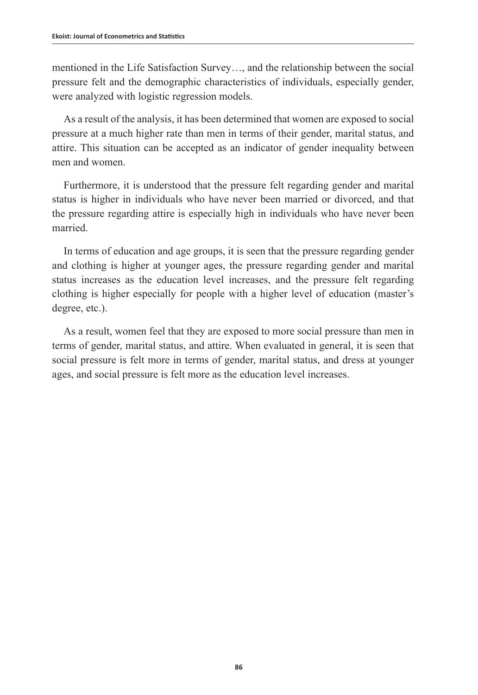mentioned in the Life Satisfaction Survey…, and the relationship between the social pressure felt and the demographic characteristics of individuals, especially gender, were analyzed with logistic regression models.

As a result of the analysis, it has been determined that women are exposed to social pressure at a much higher rate than men in terms of their gender, marital status, and attire. This situation can be accepted as an indicator of gender inequality between men and women.

Furthermore, it is understood that the pressure felt regarding gender and marital status is higher in individuals who have never been married or divorced, and that the pressure regarding attire is especially high in individuals who have never been married.

In terms of education and age groups, it is seen that the pressure regarding gender and clothing is higher at younger ages, the pressure regarding gender and marital status increases as the education level increases, and the pressure felt regarding clothing is higher especially for people with a higher level of education (master's degree, etc.).

As a result, women feel that they are exposed to more social pressure than men in terms of gender, marital status, and attire. When evaluated in general, it is seen that social pressure is felt more in terms of gender, marital status, and dress at younger ages, and social pressure is felt more as the education level increases.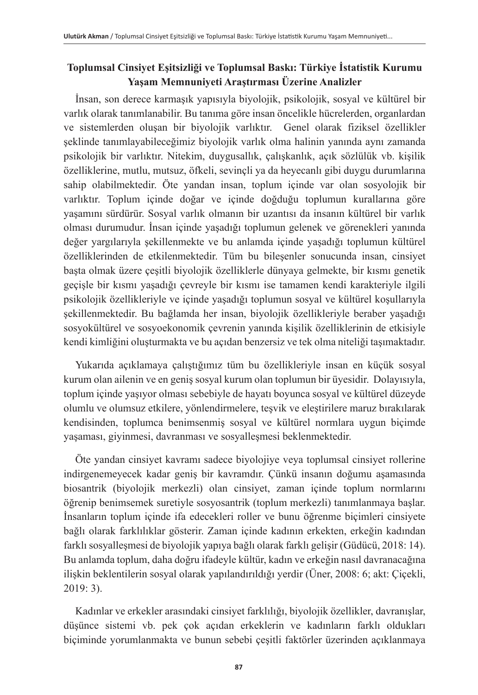### **Toplumsal Cinsiyet Eşitsizliği ve Toplumsal Baskı: Türkiye İstatistik Kurumu Yaşam Memnuniyeti Araştırması Üzerine Analizler**

İnsan, son derece karmaşık yapısıyla biyolojik, psikolojik, sosyal ve kültürel bir varlık olarak tanımlanabilir. Bu tanıma göre insan öncelikle hücrelerden, organlardan ve sistemlerden oluşan bir biyolojik varlıktır. Genel olarak fiziksel özellikler şeklinde tanımlayabileceğimiz biyolojik varlık olma halinin yanında aynı zamanda psikolojik bir varlıktır. Nitekim, duygusallık, çalışkanlık, açık sözlülük vb. kişilik özelliklerine, mutlu, mutsuz, öfkeli, sevinçli ya da heyecanlı gibi duygu durumlarına sahip olabilmektedir. Öte yandan insan, toplum içinde var olan sosyolojik bir varlıktır. Toplum içinde doğar ve içinde doğduğu toplumun kurallarına göre yaşamını sürdürür. Sosyal varlık olmanın bir uzantısı da insanın kültürel bir varlık olması durumudur. İnsan içinde yaşadığı toplumun gelenek ve görenekleri yanında değer yargılarıyla şekillenmekte ve bu anlamda içinde yaşadığı toplumun kültürel özelliklerinden de etkilenmektedir. Tüm bu bileşenler sonucunda insan, cinsiyet başta olmak üzere çeşitli biyolojik özelliklerle dünyaya gelmekte, bir kısmı genetik geçişle bir kısmı yaşadığı çevreyle bir kısmı ise tamamen kendi karakteriyle ilgili psikolojik özellikleriyle ve içinde yaşadığı toplumun sosyal ve kültürel koşullarıyla şekillenmektedir. Bu bağlamda her insan, biyolojik özellikleriyle beraber yaşadığı sosyokültürel ve sosyoekonomik çevrenin yanında kişilik özelliklerinin de etkisiyle kendi kimliğini oluşturmakta ve bu açıdan benzersiz ve tek olma niteliği taşımaktadır.

Yukarıda açıklamaya çalıştığımız tüm bu özellikleriyle insan en küçük sosyal kurum olan ailenin ve en geniş sosyal kurum olan toplumun bir üyesidir. Dolayısıyla, toplum içinde yaşıyor olması sebebiyle de hayatı boyunca sosyal ve kültürel düzeyde olumlu ve olumsuz etkilere, yönlendirmelere, teşvik ve eleştirilere maruz bırakılarak kendisinden, toplumca benimsenmiş sosyal ve kültürel normlara uygun biçimde yaşaması, giyinmesi, davranması ve sosyalleşmesi beklenmektedir.

Öte yandan cinsiyet kavramı sadece biyolojiye veya toplumsal cinsiyet rollerine indirgenemeyecek kadar geniş bir kavramdır. Çünkü insanın doğumu aşamasında biosantrik (biyolojik merkezli) olan cinsiyet, zaman içinde toplum normlarını öğrenip benimsemek suretiyle sosyosantrik (toplum merkezli) tanımlanmaya başlar. İnsanların toplum içinde ifa edecekleri roller ve bunu öğrenme biçimleri cinsiyete bağlı olarak farklılıklar gösterir. Zaman içinde kadının erkekten, erkeğin kadından farklı sosyalleşmesi de biyolojik yapıya bağlı olarak farklı gelişir (Güdücü, 2018: 14). Bu anlamda toplum, daha doğru ifadeyle kültür, kadın ve erkeğin nasıl davranacağına ilişkin beklentilerin sosyal olarak yapılandırıldığı yerdir (Üner, 2008: 6; akt: Çiçekli, 2019: 3).

Kadınlar ve erkekler arasındaki cinsiyet farklılığı, biyolojik özellikler, davranışlar, düşünce sistemi vb. pek çok açıdan erkeklerin ve kadınların farklı oldukları biçiminde yorumlanmakta ve bunun sebebi çeşitli faktörler üzerinden açıklanmaya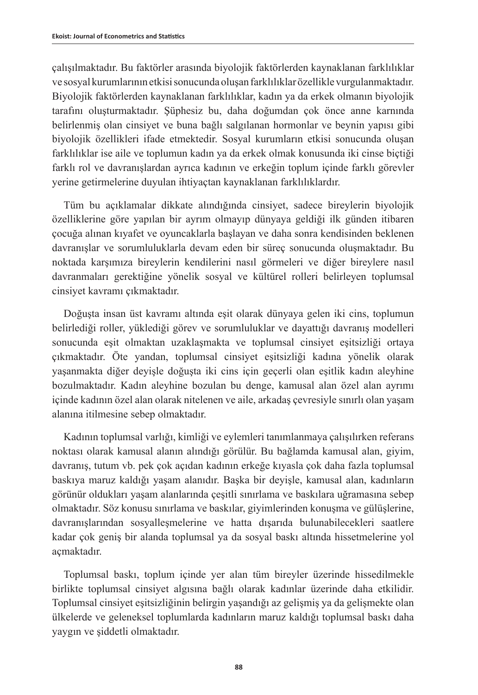çalışılmaktadır. Bu faktörler arasında biyolojik faktörlerden kaynaklanan farklılıklar ve sosyal kurumlarının etkisi sonucunda oluşan farklılıklar özellikle vurgulanmaktadır. Biyolojik faktörlerden kaynaklanan farklılıklar, kadın ya da erkek olmanın biyolojik tarafını oluşturmaktadır. Şüphesiz bu, daha doğumdan çok önce anne karnında belirlenmiş olan cinsiyet ve buna bağlı salgılanan hormonlar ve beynin yapısı gibi biyolojik özellikleri ifade etmektedir. Sosyal kurumların etkisi sonucunda oluşan farklılıklar ise aile ve toplumun kadın ya da erkek olmak konusunda iki cinse biçtiği farklı rol ve davranışlardan ayrıca kadının ve erkeğin toplum içinde farklı görevler yerine getirmelerine duyulan ihtiyaçtan kaynaklanan farklılıklardır.

Tüm bu açıklamalar dikkate alındığında cinsiyet, sadece bireylerin biyolojik özelliklerine göre yapılan bir ayrım olmayıp dünyaya geldiği ilk günden itibaren çocuğa alınan kıyafet ve oyuncaklarla başlayan ve daha sonra kendisinden beklenen davranışlar ve sorumluluklarla devam eden bir süreç sonucunda oluşmaktadır. Bu noktada karşımıza bireylerin kendilerini nasıl görmeleri ve diğer bireylere nasıl davranmaları gerektiğine yönelik sosyal ve kültürel rolleri belirleyen toplumsal cinsiyet kavramı çıkmaktadır.

Doğuşta insan üst kavramı altında eşit olarak dünyaya gelen iki cins, toplumun belirlediği roller, yüklediği görev ve sorumluluklar ve dayattığı davranış modelleri sonucunda eşit olmaktan uzaklaşmakta ve toplumsal cinsiyet eşitsizliği ortaya çıkmaktadır. Öte yandan, toplumsal cinsiyet eşitsizliği kadına yönelik olarak yaşanmakta diğer deyişle doğuşta iki cins için geçerli olan eşitlik kadın aleyhine bozulmaktadır. Kadın aleyhine bozulan bu denge, kamusal alan özel alan ayrımı içinde kadının özel alan olarak nitelenen ve aile, arkadaş çevresiyle sınırlı olan yaşam alanına itilmesine sebep olmaktadır.

Kadının toplumsal varlığı, kimliği ve eylemleri tanımlanmaya çalışılırken referans noktası olarak kamusal alanın alındığı görülür. Bu bağlamda kamusal alan, giyim, davranış, tutum vb. pek çok açıdan kadının erkeğe kıyasla çok daha fazla toplumsal baskıya maruz kaldığı yaşam alanıdır. Başka bir deyişle, kamusal alan, kadınların görünür oldukları yaşam alanlarında çeşitli sınırlama ve baskılara uğramasına sebep olmaktadır. Söz konusu sınırlama ve baskılar, giyimlerinden konuşma ve gülüşlerine, davranışlarından sosyalleşmelerine ve hatta dışarıda bulunabilecekleri saatlere kadar çok geniş bir alanda toplumsal ya da sosyal baskı altında hissetmelerine yol açmaktadır.

Toplumsal baskı, toplum içinde yer alan tüm bireyler üzerinde hissedilmekle birlikte toplumsal cinsiyet algısına bağlı olarak kadınlar üzerinde daha etkilidir. Toplumsal cinsiyet eşitsizliğinin belirgin yaşandığı az gelişmiş ya da gelişmekte olan ülkelerde ve geleneksel toplumlarda kadınların maruz kaldığı toplumsal baskı daha yaygın ve şiddetli olmaktadır.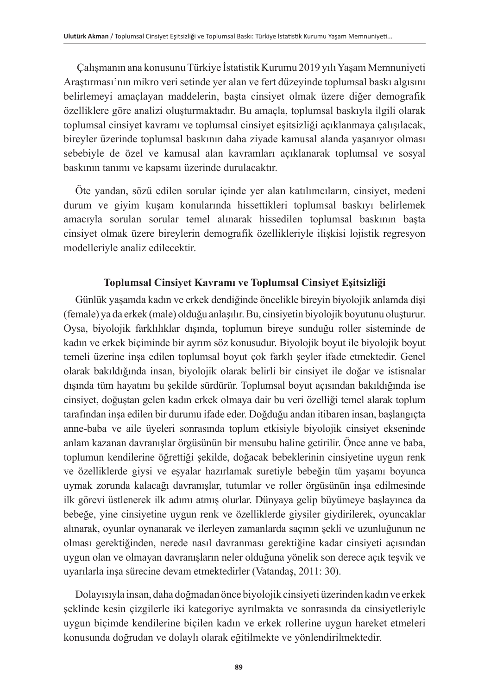Çalışmanın ana konusunu Türkiye İstatistik Kurumu 2019 yılı Yaşam Memnuniyeti Araştırması'nın mikro veri setinde yer alan ve fert düzeyinde toplumsal baskı algısını belirlemeyi amaçlayan maddelerin, başta cinsiyet olmak üzere diğer demografik özelliklere göre analizi oluşturmaktadır. Bu amaçla, toplumsal baskıyla ilgili olarak toplumsal cinsiyet kavramı ve toplumsal cinsiyet eşitsizliği açıklanmaya çalışılacak, bireyler üzerinde toplumsal baskının daha ziyade kamusal alanda yaşanıyor olması sebebiyle de özel ve kamusal alan kavramları açıklanarak toplumsal ve sosyal baskının tanımı ve kapsamı üzerinde durulacaktır.

Öte yandan, sözü edilen sorular içinde yer alan katılımcıların, cinsiyet, medeni durum ve giyim kuşam konularında hissettikleri toplumsal baskıyı belirlemek amacıyla sorulan sorular temel alınarak hissedilen toplumsal baskının başta cinsiyet olmak üzere bireylerin demografik özellikleriyle ilişkisi lojistik regresyon modelleriyle analiz edilecektir.

#### **Toplumsal Cinsiyet Kavramı ve Toplumsal Cinsiyet Eşitsizliği**

Günlük yaşamda kadın ve erkek dendiğinde öncelikle bireyin biyolojik anlamda dişi (female) ya da erkek (male) olduğu anlaşılır. Bu, cinsiyetin biyolojik boyutunu oluşturur. Oysa, biyolojik farklılıklar dışında, toplumun bireye sunduğu roller sisteminde de kadın ve erkek biçiminde bir ayrım söz konusudur. Biyolojik boyut ile biyolojik boyut temeli üzerine inşa edilen toplumsal boyut çok farklı şeyler ifade etmektedir. Genel olarak bakıldığında insan, biyolojik olarak belirli bir cinsiyet ile doğar ve istisnalar dışında tüm hayatını bu şekilde sürdürür. Toplumsal boyut açısından bakıldığında ise cinsiyet, doğuştan gelen kadın erkek olmaya dair bu veri özelliği temel alarak toplum tarafından inşa edilen bir durumu ifade eder. Doğduğu andan itibaren insan, başlangıçta anne-baba ve aile üyeleri sonrasında toplum etkisiyle biyolojik cinsiyet ekseninde anlam kazanan davranışlar örgüsünün bir mensubu haline getirilir. Önce anne ve baba, toplumun kendilerine öğrettiği şekilde, doğacak bebeklerinin cinsiyetine uygun renk ve özelliklerde giysi ve eşyalar hazırlamak suretiyle bebeğin tüm yaşamı boyunca uymak zorunda kalacağı davranışlar, tutumlar ve roller örgüsünün inşa edilmesinde ilk görevi üstlenerek ilk adımı atmış olurlar. Dünyaya gelip büyümeye başlayınca da bebeğe, yine cinsiyetine uygun renk ve özelliklerde giysiler giydirilerek, oyuncaklar alınarak, oyunlar oynanarak ve ilerleyen zamanlarda saçının şekli ve uzunluğunun ne olması gerektiğinden, nerede nasıl davranması gerektiğine kadar cinsiyeti açısından uygun olan ve olmayan davranışların neler olduğuna yönelik son derece açık teşvik ve uyarılarla inşa sürecine devam etmektedirler (Vatandaş, 2011: 30).

Dolayısıyla insan, daha doğmadan önce biyolojik cinsiyeti üzerinden kadın ve erkek şeklinde kesin çizgilerle iki kategoriye ayrılmakta ve sonrasında da cinsiyetleriyle uygun biçimde kendilerine biçilen kadın ve erkek rollerine uygun hareket etmeleri konusunda doğrudan ve dolaylı olarak eğitilmekte ve yönlendirilmektedir.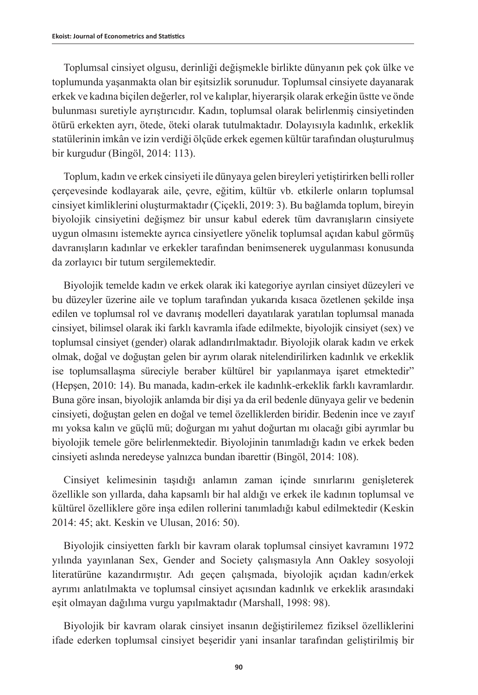Toplumsal cinsiyet olgusu, derinliği değişmekle birlikte dünyanın pek çok ülke ve toplumunda yaşanmakta olan bir eşitsizlik sorunudur. Toplumsal cinsiyete dayanarak erkek ve kadına biçilen değerler, rol ve kalıplar, hiyerarşik olarak erkeğin üstte ve önde bulunması suretiyle ayrıştırıcıdır. Kadın, toplumsal olarak belirlenmiş cinsiyetinden ötürü erkekten ayrı, ötede, öteki olarak tutulmaktadır. Dolayısıyla kadınlık, erkeklik statülerinin imkân ve izin verdiği ölçüde erkek egemen kültür tarafından oluşturulmuş bir kurgudur (Bingöl, 2014: 113).

Toplum, kadın ve erkek cinsiyeti ile dünyaya gelen bireyleri yetiştirirken belli roller çerçevesinde kodlayarak aile, çevre, eğitim, kültür vb. etkilerle onların toplumsal cinsiyet kimliklerini oluşturmaktadır (Çiçekli, 2019: 3). Bu bağlamda toplum, bireyin biyolojik cinsiyetini değişmez bir unsur kabul ederek tüm davranışların cinsiyete uygun olmasını istemekte ayrıca cinsiyetlere yönelik toplumsal açıdan kabul görmüş davranışların kadınlar ve erkekler tarafından benimsenerek uygulanması konusunda da zorlayıcı bir tutum sergilemektedir.

Biyolojik temelde kadın ve erkek olarak iki kategoriye ayrılan cinsiyet düzeyleri ve bu düzeyler üzerine aile ve toplum tarafından yukarıda kısaca özetlenen şekilde inşa edilen ve toplumsal rol ve davranış modelleri dayatılarak yaratılan toplumsal manada cinsiyet, bilimsel olarak iki farklı kavramla ifade edilmekte, biyolojik cinsiyet (sex) ve toplumsal cinsiyet (gender) olarak adlandırılmaktadır. Biyolojik olarak kadın ve erkek olmak, doğal ve doğuştan gelen bir ayrım olarak nitelendirilirken kadınlık ve erkeklik ise toplumsallaşma süreciyle beraber kültürel bir yapılanmaya işaret etmektedir" (Hepşen, 2010: 14). Bu manada, kadın-erkek ile kadınlık-erkeklik farklı kavramlardır. Buna göre insan, biyolojik anlamda bir dişi ya da eril bedenle dünyaya gelir ve bedenin cinsiyeti, doğuştan gelen en doğal ve temel özelliklerden biridir. Bedenin ince ve zayıf mı yoksa kalın ve güçlü mü; doğurgan mı yahut doğurtan mı olacağı gibi ayrımlar bu biyolojik temele göre belirlenmektedir. Biyolojinin tanımladığı kadın ve erkek beden cinsiyeti aslında neredeyse yalnızca bundan ibarettir (Bingöl, 2014: 108).

Cinsiyet kelimesinin taşıdığı anlamın zaman içinde sınırlarını genişleterek özellikle son yıllarda, daha kapsamlı bir hal aldığı ve erkek ile kadının toplumsal ve kültürel özelliklere göre inşa edilen rollerini tanımladığı kabul edilmektedir (Keskin 2014: 45; akt. Keskin ve Ulusan, 2016: 50).

Biyolojik cinsiyetten farklı bir kavram olarak toplumsal cinsiyet kavramını 1972 yılında yayınlanan Sex, Gender and Society çalışmasıyla Ann Oakley sosyoloji literatürüne kazandırmıştır. Adı geçen çalışmada, biyolojik açıdan kadın/erkek ayrımı anlatılmakta ve toplumsal cinsiyet açısından kadınlık ve erkeklik arasındaki eşit olmayan dağılıma vurgu yapılmaktadır (Marshall, 1998: 98).

Biyolojik bir kavram olarak cinsiyet insanın değiştirilemez fiziksel özelliklerini ifade ederken toplumsal cinsiyet beşeridir yani insanlar tarafından geliştirilmiş bir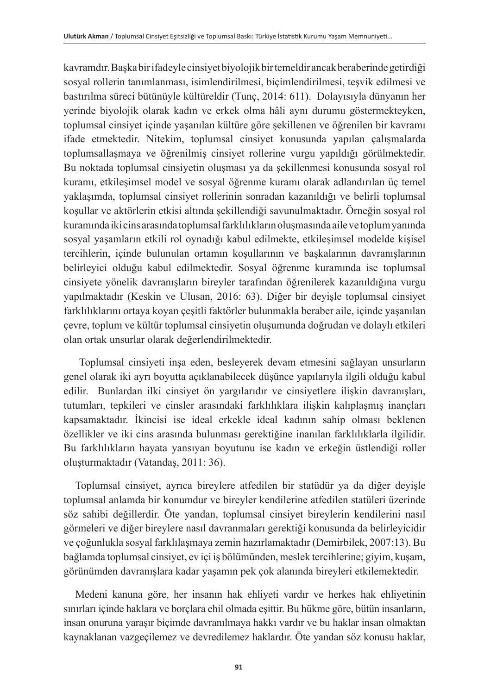kavramdır. Başka bir ifadeyle cinsiyet biyolojik bir temeldir ancak beraberinde getirdiği sosyal rollerin tanımlanması, isimlendirilmesi, biçimlendirilmesi, teşvik edilmesi ve bastırılma süreci bütünüyle kültüreldir (Tunç, 2014: 611). Dolayısıyla dünyanın her yerinde biyolojik olarak kadın ve erkek olma hâli aynı durumu göstermekteyken, toplumsal cinsiyet içinde yaşanılan kültüre göre şekillenen ve öğrenilen bir kavramı ifade etmektedir. Nitekim, toplumsal cinsiyet konusunda yapılan çalışmalarda toplumsallaşmaya ve öğrenilmiş cinsiyet rollerine vurgu yapıldığı görülmektedir. Bu noktada toplumsal cinsiyetin oluşması ya da şekillenmesi konusunda sosyal rol kuramı, etkileşimsel model ve sosyal öğrenme kuramı olarak adlandırılan üç temel yaklaşımda, toplumsal cinsiyet rollerinin sonradan kazanıldığı ve belirli toplumsal koşullar ve aktörlerin etkisi altında şekillendiği savunulmaktadır. Örneğin sosyal rol kuramında iki cins arasında toplumsal farklılıkların oluşmasında aile ve toplum yanında sosyal yaşamların etkili rol oynadığı kabul edilmekte, etkileşimsel modelde kişisel tercihlerin, içinde bulunulan ortamın koşullarının ve başkalarının davranışlarının belirleyici olduğu kabul edilmektedir. Sosyal öğrenme kuramında ise toplumsal cinsiyete yönelik davranışların bireyler tarafından öğrenilerek kazanıldığına vurgu yapılmaktadır (Keskin ve Ulusan, 2016: 63). Diğer bir deyişle toplumsal cinsiyet farklılıklarını ortaya koyan çeşitli faktörler bulunmakla beraber aile, içinde yaşanılan çevre, toplum ve kültür toplumsal cinsiyetin oluşumunda doğrudan ve dolaylı etkileri olan ortak unsurlar olarak değerlendirilmektedir.

 Toplumsal cinsiyeti inşa eden, besleyerek devam etmesini sağlayan unsurların genel olarak iki ayrı boyutta açıklanabilecek düşünce yapılarıyla ilgili olduğu kabul edilir. Bunlardan ilki cinsiyet ön yargılarıdır ve cinsiyetlere ilişkin davranışları, tutumları, tepkileri ve cinsler arasındaki farklılıklara ilişkin kalıplaşmış inançları kapsamaktadır. İkincisi ise ideal erkekle ideal kadının sahip olması beklenen özellikler ve iki cins arasında bulunması gerektiğine inanılan farklılıklarla ilgilidir. Bu farklılıkların hayata yansıyan boyutunu ise kadın ve erkeğin üstlendiği roller oluşturmaktadır (Vatandaş, 2011: 36).

Toplumsal cinsiyet, ayrıca bireylere atfedilen bir statüdür ya da diğer deyişle toplumsal anlamda bir konumdur ve bireyler kendilerine atfedilen statüleri üzerinde söz sahibi değillerdir. Öte yandan, toplumsal cinsiyet bireylerin kendilerini nasıl görmeleri ve diğer bireylere nasıl davranmaları gerektiği konusunda da belirleyicidir ve çoğunlukla sosyal farklılaşmaya zemin hazırlamaktadır (Demirbilek, 2007:13). Bu bağlamda toplumsal cinsiyet, ev içi iş bölümünden, meslek tercihlerine; giyim, kuşam, görünümden davranışlara kadar yaşamın pek çok alanında bireyleri etkilemektedir.

Medeni kanuna göre, her insanın hak ehliyeti vardır ve herkes hak ehliyetinin sınırları içinde haklara ve borçlara ehil olmada eşittir. Bu hükme göre, bütün insanların, insan onuruna yaraşır biçimde davranılmaya hakkı vardır ve bu haklar insan olmaktan kaynaklanan vazgeçilemez ve devredilemez haklardır. Öte yandan söz konusu haklar,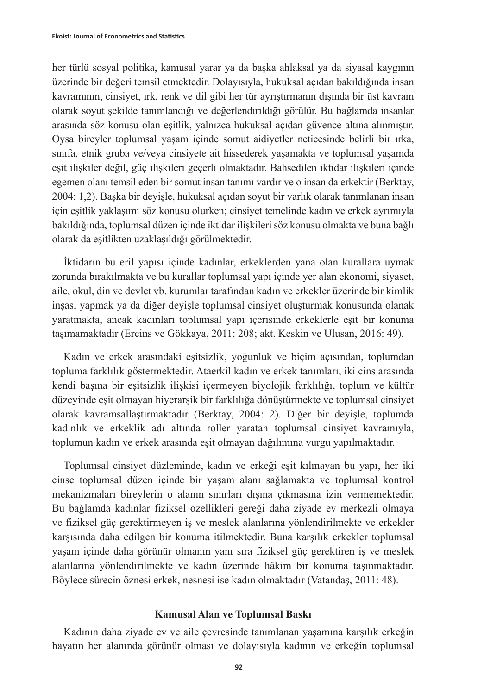her türlü sosyal politika, kamusal yarar ya da başka ahlaksal ya da siyasal kaygının üzerinde bir değeri temsil etmektedir. Dolayısıyla, hukuksal açıdan bakıldığında insan kavramının, cinsiyet, ırk, renk ve dil gibi her tür ayrıştırmanın dışında bir üst kavram olarak soyut şekilde tanımlandığı ve değerlendirildiği görülür. Bu bağlamda insanlar arasında söz konusu olan eşitlik, yalnızca hukuksal açıdan güvence altına alınmıştır. Oysa bireyler toplumsal yaşam içinde somut aidiyetler neticesinde belirli bir ırka, sınıfa, etnik gruba ve/veya cinsiyete ait hissederek yaşamakta ve toplumsal yaşamda eşit ilişkiler değil, güç ilişkileri geçerli olmaktadır. Bahsedilen iktidar ilişkileri içinde egemen olanı temsil eden bir somut insan tanımı vardır ve o insan da erkektir (Berktay, 2004: 1,2). Başka bir deyişle, hukuksal açıdan soyut bir varlık olarak tanımlanan insan için eşitlik yaklaşımı söz konusu olurken; cinsiyet temelinde kadın ve erkek ayrımıyla bakıldığında, toplumsal düzen içinde iktidar ilişkileri söz konusu olmakta ve buna bağlı olarak da eşitlikten uzaklaşıldığı görülmektedir.

İktidarın bu eril yapısı içinde kadınlar, erkeklerden yana olan kurallara uymak zorunda bırakılmakta ve bu kurallar toplumsal yapı içinde yer alan ekonomi, siyaset, aile, okul, din ve devlet vb. kurumlar tarafından kadın ve erkekler üzerinde bir kimlik inşası yapmak ya da diğer deyişle toplumsal cinsiyet oluşturmak konusunda olanak yaratmakta, ancak kadınları toplumsal yapı içerisinde erkeklerle eşit bir konuma taşımamaktadır (Ercins ve Gökkaya, 2011: 208; akt. Keskin ve Ulusan, 2016: 49).

Kadın ve erkek arasındaki eşitsizlik, yoğunluk ve biçim açısından, toplumdan topluma farklılık göstermektedir. Ataerkil kadın ve erkek tanımları, iki cins arasında kendi başına bir eşitsizlik ilişkisi içermeyen biyolojik farklılığı, toplum ve kültür düzeyinde eşit olmayan hiyerarşik bir farklılığa dönüştürmekte ve toplumsal cinsiyet olarak kavramsallaştırmaktadır (Berktay, 2004: 2). Diğer bir deyişle, toplumda kadınlık ve erkeklik adı altında roller yaratan toplumsal cinsiyet kavramıyla, toplumun kadın ve erkek arasında eşit olmayan dağılımına vurgu yapılmaktadır.

Toplumsal cinsiyet düzleminde, kadın ve erkeği eşit kılmayan bu yapı, her iki cinse toplumsal düzen içinde bir yaşam alanı sağlamakta ve toplumsal kontrol mekanizmaları bireylerin o alanın sınırları dışına çıkmasına izin vermemektedir. Bu bağlamda kadınlar fiziksel özellikleri gereği daha ziyade ev merkezli olmaya ve fiziksel güç gerektirmeyen iş ve meslek alanlarına yönlendirilmekte ve erkekler karşısında daha edilgen bir konuma itilmektedir. Buna karşılık erkekler toplumsal yaşam içinde daha görünür olmanın yanı sıra fiziksel güç gerektiren iş ve meslek alanlarına yönlendirilmekte ve kadın üzerinde hâkim bir konuma taşınmaktadır. Böylece sürecin öznesi erkek, nesnesi ise kadın olmaktadır (Vatandaş, 2011: 48).

#### **Kamusal Alan ve Toplumsal Baskı**

Kadının daha ziyade ev ve aile çevresinde tanımlanan yaşamına karşılık erkeğin hayatın her alanında görünür olması ve dolayısıyla kadının ve erkeğin toplumsal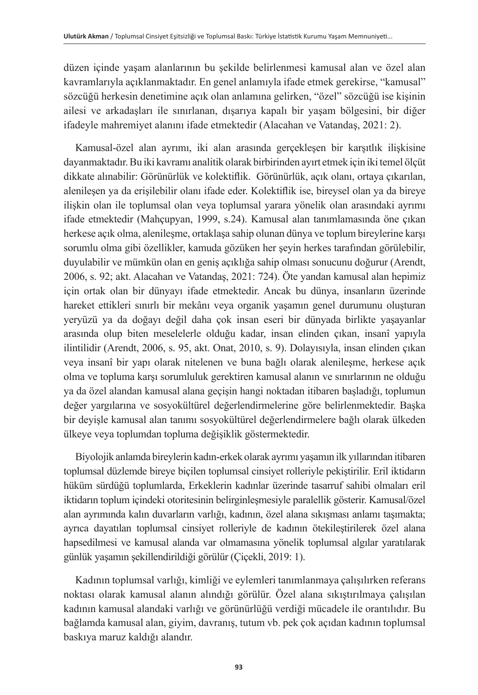düzen içinde yaşam alanlarının bu şekilde belirlenmesi kamusal alan ve özel alan kavramlarıyla açıklanmaktadır. En genel anlamıyla ifade etmek gerekirse, "kamusal" sözcüğü herkesin denetimine açık olan anlamına gelirken, "özel" sözcüğü ise kişinin ailesi ve arkadaşları ile sınırlanan, dışarıya kapalı bir yaşam bölgesini, bir diğer ifadeyle mahremiyet alanını ifade etmektedir (Alacahan ve Vatandaş, 2021: 2).

Kamusal-özel alan ayrımı, iki alan arasında gerçekleşen bir karşıtlık ilişkisine dayanmaktadır. Bu iki kavramı analitik olarak birbirinden ayırt etmek için iki temel ölçüt dikkate alınabilir: Görünürlük ve kolektiflik. Görünürlük, açık olanı, ortaya çıkarılan, alenileşen ya da erişilebilir olanı ifade eder. Kolektiflik ise, bireysel olan ya da bireye ilişkin olan ile toplumsal olan veya toplumsal yarara yönelik olan arasındaki ayrımı ifade etmektedir (Mahçupyan, 1999, s.24). Kamusal alan tanımlamasında öne çıkan herkese açık olma, alenileşme, ortaklaşa sahip olunan dünya ve toplum bireylerine karşı sorumlu olma gibi özellikler, kamuda gözüken her şeyin herkes tarafından görülebilir, duyulabilir ve mümkün olan en geniş açıklığa sahip olması sonucunu doğurur (Arendt, 2006, s. 92; akt. Alacahan ve Vatandaş, 2021: 724). Öte yandan kamusal alan hepimiz için ortak olan bir dünyayı ifade etmektedir. Ancak bu dünya, insanların üzerinde hareket ettikleri sınırlı bir mekânı veya organik yaşamın genel durumunu oluşturan yeryüzü ya da doğayı değil daha çok insan eseri bir dünyada birlikte yaşayanlar arasında olup biten meselelerle olduğu kadar, insan elinden çıkan, insanî yapıyla ilintilidir (Arendt, 2006, s. 95, akt. Onat, 2010, s. 9). Dolayısıyla, insan elinden çıkan veya insanî bir yapı olarak nitelenen ve buna bağlı olarak alenileşme, herkese açık olma ve topluma karşı sorumluluk gerektiren kamusal alanın ve sınırlarının ne olduğu ya da özel alandan kamusal alana geçişin hangi noktadan itibaren başladığı, toplumun değer yargılarına ve sosyokültürel değerlendirmelerine göre belirlenmektedir. Başka bir deyişle kamusal alan tanımı sosyokültürel değerlendirmelere bağlı olarak ülkeden ülkeye veya toplumdan topluma değişiklik göstermektedir.

Biyolojik anlamda bireylerin kadın-erkek olarak ayrımı yaşamın ilk yıllarından itibaren toplumsal düzlemde bireye biçilen toplumsal cinsiyet rolleriyle pekiştirilir. Eril iktidarın hüküm sürdüğü toplumlarda, Erkeklerin kadınlar üzerinde tasarruf sahibi olmaları eril iktidarın toplum içindeki otoritesinin belirginleşmesiyle paralellik gösterir. Kamusal/özel alan ayrımında kalın duvarların varlığı, kadının, özel alana sıkışması anlamı taşımakta; ayrıca dayatılan toplumsal cinsiyet rolleriyle de kadının ötekileştirilerek özel alana hapsedilmesi ve kamusal alanda var olmamasına yönelik toplumsal algılar yaratılarak günlük yaşamın şekillendirildiği görülür (Çiçekli, 2019: 1).

Kadının toplumsal varlığı, kimliği ve eylemleri tanımlanmaya çalışılırken referans noktası olarak kamusal alanın alındığı görülür. Özel alana sıkıştırılmaya çalışılan kadının kamusal alandaki varlığı ve görünürlüğü verdiği mücadele ile orantılıdır. Bu bağlamda kamusal alan, giyim, davranış, tutum vb. pek çok açıdan kadının toplumsal baskıya maruz kaldığı alandır.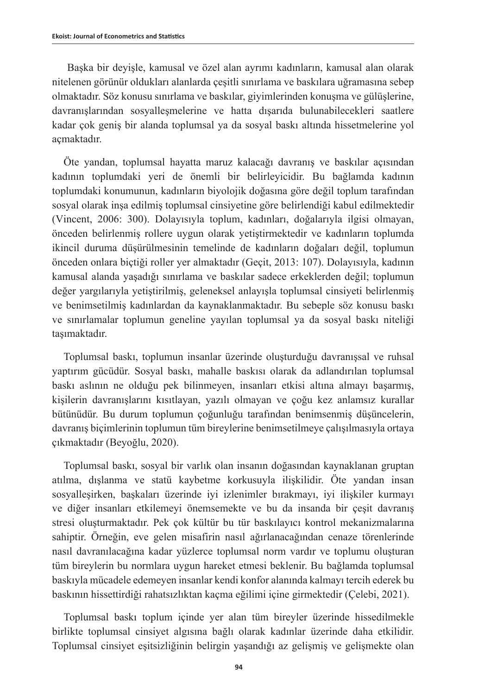Başka bir deyişle, kamusal ve özel alan ayrımı kadınların, kamusal alan olarak nitelenen görünür oldukları alanlarda çeşitli sınırlama ve baskılara uğramasına sebep olmaktadır. Söz konusu sınırlama ve baskılar, giyimlerinden konuşma ve gülüşlerine, davranışlarından sosyalleşmelerine ve hatta dışarıda bulunabilecekleri saatlere kadar çok geniş bir alanda toplumsal ya da sosyal baskı altında hissetmelerine yol açmaktadır.

Öte yandan, toplumsal hayatta maruz kalacağı davranış ve baskılar açısından kadının toplumdaki yeri de önemli bir belirleyicidir. Bu bağlamda kadının toplumdaki konumunun, kadınların biyolojik doğasına göre değil toplum tarafından sosyal olarak inşa edilmiş toplumsal cinsiyetine göre belirlendiği kabul edilmektedir (Vincent, 2006: 300). Dolayısıyla toplum, kadınları, doğalarıyla ilgisi olmayan, önceden belirlenmiş rollere uygun olarak yetiştirmektedir ve kadınların toplumda ikincil duruma düşürülmesinin temelinde de kadınların doğaları değil, toplumun önceden onlara biçtiği roller yer almaktadır (Geçit, 2013: 107). Dolayısıyla, kadının kamusal alanda yaşadığı sınırlama ve baskılar sadece erkeklerden değil; toplumun değer yargılarıyla yetiştirilmiş, geleneksel anlayışla toplumsal cinsiyeti belirlenmiş ve benimsetilmiş kadınlardan da kaynaklanmaktadır. Bu sebeple söz konusu baskı ve sınırlamalar toplumun geneline yayılan toplumsal ya da sosyal baskı niteliği taşımaktadır.

Toplumsal baskı, toplumun insanlar üzerinde oluşturduğu davranışsal ve ruhsal yaptırım gücüdür. Sosyal baskı, mahalle baskısı olarak da adlandırılan toplumsal baskı aslının ne olduğu pek bilinmeyen, insanları etkisi altına almayı başarmış, kişilerin davranışlarını kısıtlayan, yazılı olmayan ve çoğu kez anlamsız kurallar bütünüdür. Bu durum toplumun çoğunluğu tarafından benimsenmiş düşüncelerin, davranış biçimlerinin toplumun tüm bireylerine benimsetilmeye çalışılmasıyla ortaya çıkmaktadır (Beyoğlu, 2020).

Toplumsal baskı, sosyal bir varlık olan insanın doğasından kaynaklanan gruptan atılma, dışlanma ve statü kaybetme korkusuyla ilişkilidir. Öte yandan insan sosyalleşirken, başkaları üzerinde iyi izlenimler bırakmayı, iyi ilişkiler kurmayı ve diğer insanları etkilemeyi önemsemekte ve bu da insanda bir çeşit davranış stresi oluşturmaktadır. Pek çok kültür bu tür baskılayıcı kontrol mekanizmalarına sahiptir. Örneğin, eve gelen misafirin nasıl ağırlanacağından cenaze törenlerinde nasıl davranılacağına kadar yüzlerce toplumsal norm vardır ve toplumu oluşturan tüm bireylerin bu normlara uygun hareket etmesi beklenir. Bu bağlamda toplumsal baskıyla mücadele edemeyen insanlar kendi konfor alanında kalmayı tercih ederek bu baskının hissettirdiği rahatsızlıktan kaçma eğilimi içine girmektedir (Çelebi, 2021).

Toplumsal baskı toplum içinde yer alan tüm bireyler üzerinde hissedilmekle birlikte toplumsal cinsiyet algısına bağlı olarak kadınlar üzerinde daha etkilidir. Toplumsal cinsiyet eşitsizliğinin belirgin yaşandığı az gelişmiş ve gelişmekte olan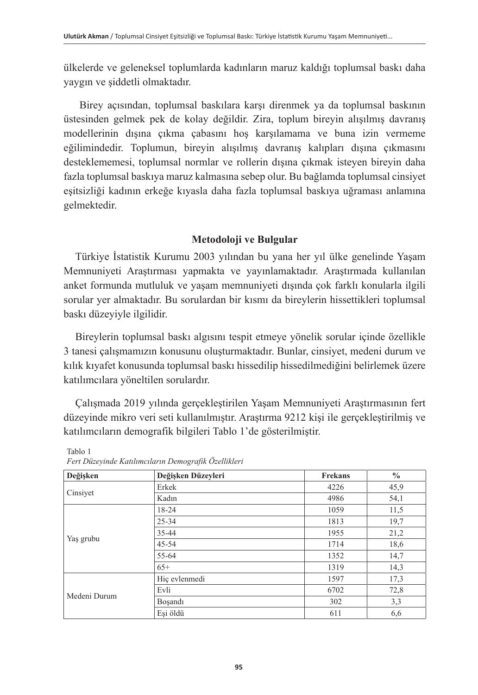ülkelerde ve geleneksel toplumlarda kadınların maruz kaldığı toplumsal baskı daha yaygın ve şiddetli olmaktadır.

Birey açısından, toplumsal baskılara karşı direnmek ya da toplumsal baskının üstesinden gelmek pek de kolay değildir. Zira, toplum bireyin alışılmış davranış modellerinin dışına çıkma çabasını hoş karşılamama ve buna izin vermeme eğilimindedir. Toplumun, bireyin alışılmış davranış kalıpları dışına çıkmasını desteklememesi, toplumsal normlar ve rollerin dışına çıkmak isteyen bireyin daha fazla toplumsal baskıya maruz kalmasına sebep olur. Bu bağlamda toplumsal cinsiyet eşitsizliği kadının erkeğe kıyasla daha fazla toplumsal baskıya uğraması anlamına gelmektedir.

### **Metodoloji ve Bulgular**

Türkiye İstatistik Kurumu 2003 yılından bu yana her yıl ülke genelinde Yaşam Memnuniyeti Araştırması yapmakta ve yayınlamaktadır. Araştırmada kullanılan anket formunda mutluluk ve yaşam memnuniyeti dışında çok farklı konularla ilgili sorular yer almaktadır. Bu sorulardan bir kısmı da bireylerin hissettikleri toplumsal baskı düzeyiyle ilgilidir.

Bireylerin toplumsal baskı algısını tespit etmeye yönelik sorular içinde özellikle 3 tanesi çalışmamızın konusunu oluşturmaktadır. Bunlar, cinsiyet, medeni durum ve kılık kıyafet konusunda toplumsal baskı hissedilip hissedilmediğini belirlemek üzere katılımcılara yöneltilen sorulardır.

Çalışmada 2019 yılında gerçekleştirilen Yaşam Memnuniyeti Araştırmasının fert düzeyinde mikro veri seti kullanılmıştır. Araştırma 9212 kişi ile gerçekleştirilmiş ve katılımcıların demografik bilgileri Tablo 1'de gösterilmiştir.

| Değişken     | Değişken Düzeyleri | <b>Frekans</b> | $\frac{0}{0}$ |
|--------------|--------------------|----------------|---------------|
| Cinsiyet     | Erkek              | 4226           | 45,9          |
|              | Kadın              | 4986           | 54,1          |
| Yaş grubu    | 18-24              | 1059           | 11,5          |
|              | $25 - 34$          | 1813           | 19,7          |
|              | 35-44              | 1955           | 21,2          |
|              | $45 - 54$          | 1714           | 18,6          |
|              | 55-64              | 1352           | 14,7          |
|              | $65+$              | 1319           | 14,3          |
| Medeni Durum | Hic evlenmedi      | 1597           | 17,3          |
|              | Evli               | 6702           | 72,8          |
|              | <b>Bosandi</b>     | 302            | 3,3           |
|              | Eşi öldü           | 611            | 6,6           |

Tablo 1 *Fert Düzeyinde Katılımcıların Demografik Özellikleri*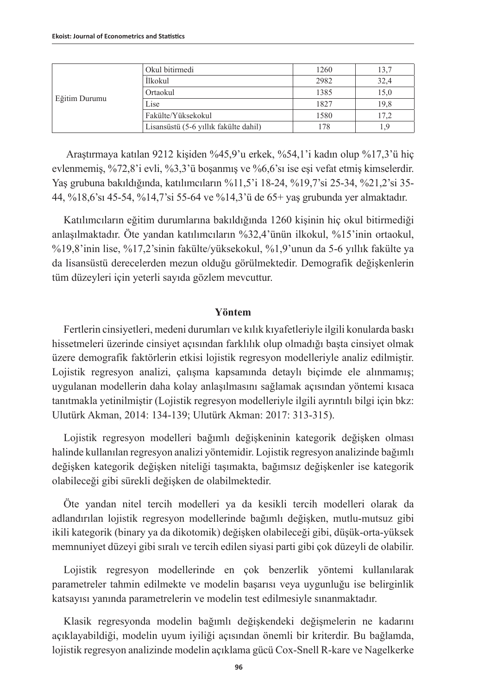| Eğitim Durumu | Okul bitirmedi                        | 1260 | 13,7 |
|---------------|---------------------------------------|------|------|
|               | <i>İlkokul</i>                        | 2982 | 32,4 |
|               | Ortaokul                              | 1385 | 15,0 |
|               | Lise                                  | 1827 | 19.8 |
|               | Fakülte/Yüksekokul                    | 1580 | 17.2 |
|               | Lisansüstü (5-6 yıllık fakülte dahil) | 178  |      |

 Araştırmaya katılan 9212 kişiden %45,9'u erkek, %54,1'i kadın olup %17,3'ü hiç evlenmemiş, %72,8'i evli, %3,3'ü boşanmış ve %6,6'sı ise eşi vefat etmiş kimselerdir. Yaş grubuna bakıldığında, katılımcıların %11,5'i 18-24, %19,7'si 25-34, %21,2'si 35- 44, %18,6'sı 45-54, %14,7'si 55-64 ve %14,3'ü de 65+ yaş grubunda yer almaktadır.

Katılımcıların eğitim durumlarına bakıldığında 1260 kişinin hiç okul bitirmediği anlaşılmaktadır. Öte yandan katılımcıların %32,4'ünün ilkokul, %15'inin ortaokul, %19,8'inin lise, %17,2'sinin fakülte/yüksekokul, %1,9'unun da 5-6 yıllık fakülte ya da lisansüstü derecelerden mezun olduğu görülmektedir. Demografik değişkenlerin tüm düzeyleri için yeterli sayıda gözlem mevcuttur.

#### **Yöntem**

Fertlerin cinsiyetleri, medeni durumları ve kılık kıyafetleriyle ilgili konularda baskı hissetmeleri üzerinde cinsiyet açısından farklılık olup olmadığı başta cinsiyet olmak üzere demografik faktörlerin etkisi lojistik regresyon modelleriyle analiz edilmiştir. Lojistik regresyon analizi, çalışma kapsamında detaylı biçimde ele alınmamış; uygulanan modellerin daha kolay anlaşılmasını sağlamak açısından yöntemi kısaca tanıtmakla yetinilmiştir (Lojistik regresyon modelleriyle ilgili ayrıntılı bilgi için bkz: Ulutürk Akman, 2014: 134-139; Ulutürk Akman: 2017: 313-315).

Lojistik regresyon modelleri bağımlı değişkeninin kategorik değişken olması halinde kullanılan regresyon analizi yöntemidir. Lojistik regresyon analizinde bağımlı değişken kategorik değişken niteliği taşımakta, bağımsız değişkenler ise kategorik olabileceği gibi sürekli değişken de olabilmektedir.

Öte yandan nitel tercih modelleri ya da kesikli tercih modelleri olarak da adlandırılan lojistik regresyon modellerinde bağımlı değişken, mutlu-mutsuz gibi ikili kategorik (binary ya da dikotomik) değişken olabileceği gibi, düşük-orta-yüksek memnuniyet düzeyi gibi sıralı ve tercih edilen siyasi parti gibi çok düzeyli de olabilir.

Lojistik regresyon modellerinde en çok benzerlik yöntemi kullanılarak parametreler tahmin edilmekte ve modelin başarısı veya uygunluğu ise belirginlik katsayısı yanında parametrelerin ve modelin test edilmesiyle sınanmaktadır.

Klasik regresyonda modelin bağımlı değişkendeki değişmelerin ne kadarını açıklayabildiği, modelin uyum iyiliği açısından önemli bir kriterdir. Bu bağlamda, lojistik regresyon analizinde modelin açıklama gücü Cox-Snell R-kare ve Nagelkerke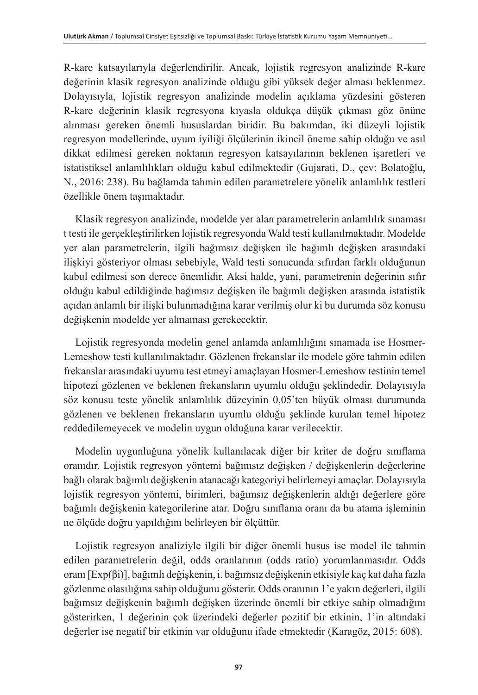R-kare katsayılarıyla değerlendirilir. Ancak, lojistik regresyon analizinde R-kare değerinin klasik regresyon analizinde olduğu gibi yüksek değer alması beklenmez. Dolayısıyla, lojistik regresyon analizinde modelin açıklama yüzdesini gösteren R-kare değerinin klasik regresyona kıyasla oldukça düşük çıkması göz önüne alınması gereken önemli hususlardan biridir. Bu bakımdan, iki düzeyli lojistik regresyon modellerinde, uyum iyiliği ölçülerinin ikincil öneme sahip olduğu ve asıl dikkat edilmesi gereken noktanın regresyon katsayılarının beklenen işaretleri ve istatistiksel anlamlılıkları olduğu kabul edilmektedir (Gujarati, D., çev: Bolatoğlu, N., 2016: 238). Bu bağlamda tahmin edilen parametrelere yönelik anlamlılık testleri özellikle önem taşımaktadır.

Klasik regresyon analizinde, modelde yer alan parametrelerin anlamlılık sınaması t testi ile gerçekleştirilirken lojistik regresyonda Wald testi kullanılmaktadır. Modelde yer alan parametrelerin, ilgili bağımsız değişken ile bağımlı değişken arasındaki ilişkiyi gösteriyor olması sebebiyle, Wald testi sonucunda sıfırdan farklı olduğunun kabul edilmesi son derece önemlidir. Aksi halde, yani, parametrenin değerinin sıfır olduğu kabul edildiğinde bağımsız değişken ile bağımlı değişken arasında istatistik açıdan anlamlı bir ilişki bulunmadığına karar verilmiş olur ki bu durumda söz konusu değişkenin modelde yer almaması gerekecektir.

Lojistik regresyonda modelin genel anlamda anlamlılığını sınamada ise Hosmer-Lemeshow testi kullanılmaktadır. Gözlenen frekanslar ile modele göre tahmin edilen frekanslar arasındaki uyumu test etmeyi amaçlayan Hosmer-Lemeshow testinin temel hipotezi gözlenen ve beklenen frekansların uyumlu olduğu şeklindedir. Dolayısıyla söz konusu teste yönelik anlamlılık düzeyinin 0,05'ten büyük olması durumunda gözlenen ve beklenen frekansların uyumlu olduğu şeklinde kurulan temel hipotez reddedilemeyecek ve modelin uygun olduğuna karar verilecektir.

Modelin uygunluğuna yönelik kullanılacak diğer bir kriter de doğru sınıflama oranıdır. Lojistik regresyon yöntemi bağımsız değişken / değişkenlerin değerlerine bağlı olarak bağımlı değişkenin atanacağı kategoriyi belirlemeyi amaçlar. Dolayısıyla lojistik regresyon yöntemi, birimleri, bağımsız değişkenlerin aldığı değerlere göre bağımlı değişkenin kategorilerine atar. Doğru sınıflama oranı da bu atama işleminin ne ölçüde doğru yapıldığını belirleyen bir ölçüttür.

Lojistik regresyon analiziyle ilgili bir diğer önemli husus ise model ile tahmin edilen parametrelerin değil, odds oranlarının (odds ratio) yorumlanmasıdır. Odds oranı [Exp(βi)], bağımlı değişkenin, i. bağımsız değişkenin etkisiyle kaç kat daha fazla gözlenme olasılığına sahip olduğunu gösterir. Odds oranının 1'e yakın değerleri, ilgili bağımsız değişkenin bağımlı değişken üzerinde önemli bir etkiye sahip olmadığını gösterirken, 1 değerinin çok üzerindeki değerler pozitif bir etkinin, 1'in altındaki değerler ise negatif bir etkinin var olduğunu ifade etmektedir (Karagöz, 2015: 608).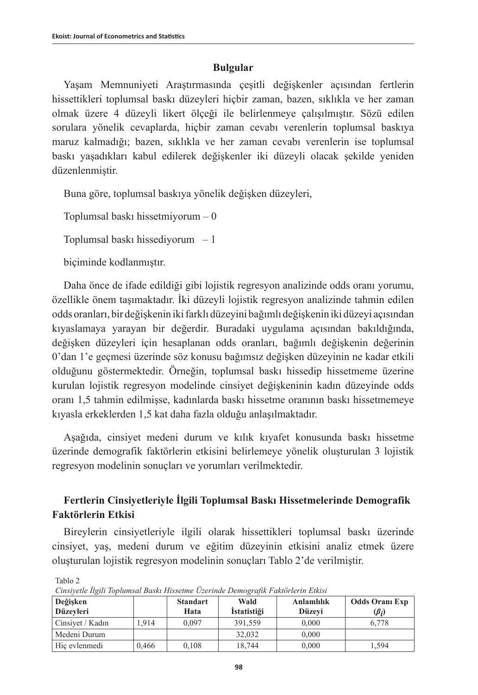### **Bulgular**

Yaşam Memnuniyeti Araştırmasında çeşitli değişkenler açısından fertlerin hissettikleri toplumsal baskı düzeyleri hiçbir zaman, bazen, sıklıkla ve her zaman olmak üzere 4 düzeyli likert ölçeği ile belirlenmeye çalışılmıştır. Sözü edilen sorulara yönelik cevaplarda, hiçbir zaman cevabı verenlerin toplumsal baskıya maruz kalmadığı; bazen, sıklıkla ve her zaman cevabı verenlerin ise toplumsal baskı yaşadıkları kabul edilerek değişkenler iki düzeyli olacak şekilde yeniden düzenlenmiştir.

Buna göre, toplumsal baskıya yönelik değişken düzeyleri,

Toplumsal baskı hissetmiyorum – 0

Toplumsal baskı hissediyorum – 1

biçiminde kodlanmıştır.

Tablo 2

Daha önce de ifade edildiği gibi lojistik regresyon analizinde odds oranı yorumu, özellikle önem taşımaktadır. İki düzeyli lojistik regresyon analizinde tahmin edilen odds oranları, bir değişkenin iki farklı düzeyini bağımlı değişkenin iki düzeyi açısından kıyaslamaya yarayan bir değerdir. Buradaki uygulama açısından bakıldığında, değişken düzeyleri için hesaplanan odds oranları, bağımlı değişkenin değerinin 0'dan 1'e geçmesi üzerinde söz konusu bağımsız değişken düzeyinin ne kadar etkili olduğunu göstermektedir. Örneğin, toplumsal baskı hissedip hissetmeme üzerine kurulan lojistik regresyon modelinde cinsiyet değişkeninin kadın düzeyinde odds oranı 1,5 tahmin edilmişse, kadınlarda baskı hissetme oranının baskı hissetmemeye kıyasla erkeklerden 1,5 kat daha fazla olduğu anlaşılmaktadır.

Aşağıda, cinsiyet medeni durum ve kılık kıyafet konusunda baskı hissetme üzerinde demografik faktörlerin etkisini belirlemeye yönelik oluşturulan 3 lojistik regresyon modelinin sonuçları ve yorumları verilmektedir.

### **Fertlerin Cinsiyetleriyle İlgili Toplumsal Baskı Hissetmelerinde Demografik Faktörlerin Etkisi**

Bireylerin cinsiyetleriyle ilgili olarak hissettikleri toplumsal baskı üzerinde cinsiyet, yaş, medeni durum ve eğitim düzeyinin etkisini analiz etmek üzere oluşturulan lojistik regresyon modelinin sonuçları Tablo 2'de verilmiştir.

| Chart can be a changed begin the control control believed when I well be the British<br>Değişken<br>Düzevleri |       | <b>Standart</b><br>Hata | Wald<br><i>Istatistizi</i> | <b>Anlamlılık</b><br>Düzevi | <b>Odds Oranı Exp</b><br>$\left(\beta_i\right)$ |
|---------------------------------------------------------------------------------------------------------------|-------|-------------------------|----------------------------|-----------------------------|-------------------------------------------------|
| Cinsiyet / Kadın                                                                                              | 1.914 | 0.097                   | 391.559                    | 0.000                       | 6.778                                           |
| Medeni Durum                                                                                                  |       |                         | 32,032                     | 0.000                       |                                                 |
| Hic evlenmedi                                                                                                 | 0.466 | 0.108                   | 18.744                     | 0.000                       | 1.594                                           |

*Cinsiyetle İlgili Toplumsal Baskı Hissetme Üzerinde Demografik Faktörlerin Etkisi*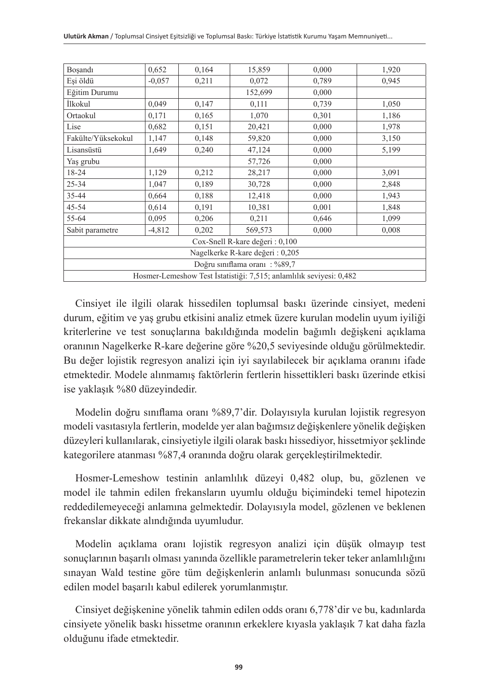| Boşandı                                                             | 0,652                                      | 0,164 | 15,859  | 0,000 | 1,920 |  |  |
|---------------------------------------------------------------------|--------------------------------------------|-------|---------|-------|-------|--|--|
| Esi öldü                                                            | $-0.057$                                   | 0,211 | 0,072   | 0,789 | 0,945 |  |  |
| Eğitim Durumu                                                       |                                            |       | 152,699 | 0,000 |       |  |  |
| İlkokul                                                             | 0,049                                      | 0,147 | 0,111   | 0,739 | 1,050 |  |  |
| Ortaokul                                                            | 0,171                                      | 0,165 | 1,070   | 0,301 | 1,186 |  |  |
| Lise                                                                | 0,682                                      | 0,151 | 20,421  | 0,000 | 1,978 |  |  |
| Fakülte/Yüksekokul                                                  | 1,147                                      | 0,148 | 59,820  | 0,000 | 3,150 |  |  |
| Lisansüstü                                                          | 1,649                                      | 0,240 | 47,124  | 0,000 | 5,199 |  |  |
| Yaş grubu                                                           |                                            |       | 57,726  | 0,000 |       |  |  |
| 18-24                                                               | 1,129                                      | 0,212 | 28,217  | 0,000 | 3,091 |  |  |
| 25-34                                                               | 1,047                                      | 0,189 | 30,728  | 0,000 | 2,848 |  |  |
| 35-44                                                               | 0,188<br>0,664<br>12,418<br>0,000<br>1,943 |       |         |       |       |  |  |
| $45 - 54$                                                           | 0,614                                      | 0,191 | 10,381  | 0,001 | 1,848 |  |  |
| 55-64                                                               | 0,095                                      | 0,206 | 0,211   | 0,646 | 1,099 |  |  |
| Sabit parametre                                                     | $-4,812$                                   | 0,202 | 569,573 | 0,000 | 0,008 |  |  |
| Cox-Snell R-kare değeri: 0,100                                      |                                            |       |         |       |       |  |  |
| Nagelkerke R-kare değeri: 0,205                                     |                                            |       |         |       |       |  |  |
| Doğru sınıflama oranı: %89,7                                        |                                            |       |         |       |       |  |  |
| Hosmer-Lemeshow Test İstatistiği: 7,515; anlamlılık seviyesi: 0,482 |                                            |       |         |       |       |  |  |

Cinsiyet ile ilgili olarak hissedilen toplumsal baskı üzerinde cinsiyet, medeni durum, eğitim ve yaş grubu etkisini analiz etmek üzere kurulan modelin uyum iyiliği kriterlerine ve test sonuçlarına bakıldığında modelin bağımlı değişkeni açıklama oranının Nagelkerke R-kare değerine göre %20,5 seviyesinde olduğu görülmektedir. Bu değer lojistik regresyon analizi için iyi sayılabilecek bir açıklama oranını ifade etmektedir. Modele alınmamış faktörlerin fertlerin hissettikleri baskı üzerinde etkisi ise yaklaşık %80 düzeyindedir.

Modelin doğru sınıflama oranı %89,7'dir. Dolayısıyla kurulan lojistik regresyon modeli vasıtasıyla fertlerin, modelde yer alan bağımsız değişkenlere yönelik değişken düzeyleri kullanılarak, cinsiyetiyle ilgili olarak baskı hissediyor, hissetmiyor şeklinde kategorilere atanması %87,4 oranında doğru olarak gerçekleştirilmektedir.

Hosmer-Lemeshow testinin anlamlılık düzeyi 0,482 olup, bu, gözlenen ve model ile tahmin edilen frekansların uyumlu olduğu biçimindeki temel hipotezin reddedilemeyeceği anlamına gelmektedir. Dolayısıyla model, gözlenen ve beklenen frekanslar dikkate alındığında uyumludur.

Modelin açıklama oranı lojistik regresyon analizi için düşük olmayıp test sonuçlarının başarılı olması yanında özellikle parametrelerin teker teker anlamlılığını sınayan Wald testine göre tüm değişkenlerin anlamlı bulunması sonucunda sözü edilen model başarılı kabul edilerek yorumlanmıştır.

Cinsiyet değişkenine yönelik tahmin edilen odds oranı 6,778'dir ve bu, kadınlarda cinsiyete yönelik baskı hissetme oranının erkeklere kıyasla yaklaşık 7 kat daha fazla olduğunu ifade etmektedir.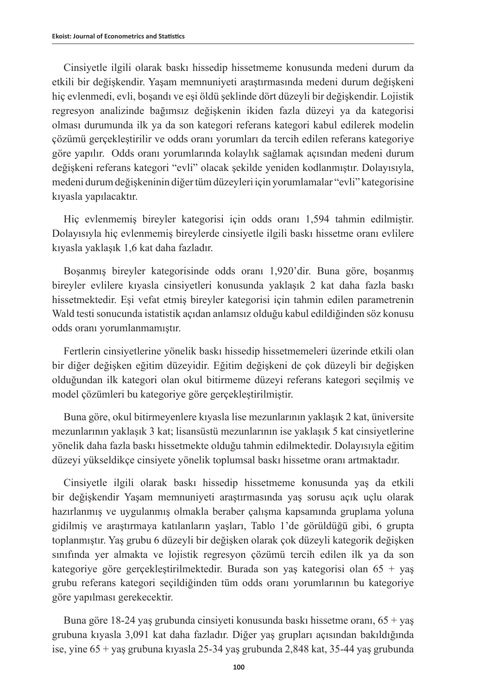Cinsiyetle ilgili olarak baskı hissedip hissetmeme konusunda medeni durum da etkili bir değişkendir. Yaşam memnuniyeti araştırmasında medeni durum değişkeni hiç evlenmedi, evli, boşandı ve eşi öldü şeklinde dört düzeyli bir değişkendir. Lojistik regresyon analizinde bağımsız değişkenin ikiden fazla düzeyi ya da kategorisi olması durumunda ilk ya da son kategori referans kategori kabul edilerek modelin çözümü gerçekleştirilir ve odds oranı yorumları da tercih edilen referans kategoriye göre yapılır. Odds oranı yorumlarında kolaylık sağlamak açısından medeni durum değişkeni referans kategori "evli" olacak şekilde yeniden kodlanmıştır. Dolayısıyla, medeni durum değişkeninin diğer tüm düzeyleri için yorumlamalar "evli" kategorisine kıyasla yapılacaktır.

Hiç evlenmemiş bireyler kategorisi için odds oranı 1,594 tahmin edilmiştir. Dolayısıyla hiç evlenmemiş bireylerde cinsiyetle ilgili baskı hissetme oranı evlilere kıyasla yaklaşık 1,6 kat daha fazladır.

Boşanmış bireyler kategorisinde odds oranı 1,920'dir. Buna göre, boşanmış bireyler evlilere kıyasla cinsiyetleri konusunda yaklaşık 2 kat daha fazla baskı hissetmektedir. Eşi vefat etmiş bireyler kategorisi için tahmin edilen parametrenin Wald testi sonucunda istatistik açıdan anlamsız olduğu kabul edildiğinden söz konusu odds oranı yorumlanmamıştır.

Fertlerin cinsiyetlerine yönelik baskı hissedip hissetmemeleri üzerinde etkili olan bir diğer değişken eğitim düzeyidir. Eğitim değişkeni de çok düzeyli bir değişken olduğundan ilk kategori olan okul bitirmeme düzeyi referans kategori seçilmiş ve model çözümleri bu kategoriye göre gerçekleştirilmiştir.

Buna göre, okul bitirmeyenlere kıyasla lise mezunlarının yaklaşık 2 kat, üniversite mezunlarının yaklaşık 3 kat; lisansüstü mezunlarının ise yaklaşık 5 kat cinsiyetlerine yönelik daha fazla baskı hissetmekte olduğu tahmin edilmektedir. Dolayısıyla eğitim düzeyi yükseldikçe cinsiyete yönelik toplumsal baskı hissetme oranı artmaktadır.

Cinsiyetle ilgili olarak baskı hissedip hissetmeme konusunda yaş da etkili bir değişkendir Yaşam memnuniyeti araştırmasında yaş sorusu açık uçlu olarak hazırlanmış ve uygulanmış olmakla beraber çalışma kapsamında gruplama yoluna gidilmiş ve araştırmaya katılanların yaşları, Tablo 1'de görüldüğü gibi, 6 grupta toplanmıştır. Yaş grubu 6 düzeyli bir değişken olarak çok düzeyli kategorik değişken sınıfında yer almakta ve lojistik regresyon çözümü tercih edilen ilk ya da son kategoriye göre gerçekleştirilmektedir. Burada son yaş kategorisi olan 65 + yaş grubu referans kategori seçildiğinden tüm odds oranı yorumlarının bu kategoriye göre yapılması gerekecektir.

Buna göre 18-24 yaş grubunda cinsiyeti konusunda baskı hissetme oranı, 65 + yaş grubuna kıyasla 3,091 kat daha fazladır. Diğer yaş grupları açısından bakıldığında ise, yine 65 + yaş grubuna kıyasla 25-34 yaş grubunda 2,848 kat, 35-44 yaş grubunda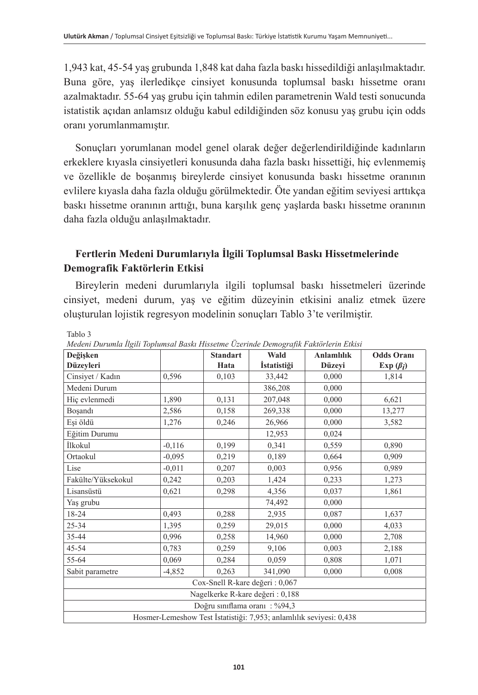1,943 kat, 45-54 yaş grubunda 1,848 kat daha fazla baskı hissedildiği anlaşılmaktadır. Buna göre, yaş ilerledikçe cinsiyet konusunda toplumsal baskı hissetme oranı azalmaktadır. 55-64 yaş grubu için tahmin edilen parametrenin Wald testi sonucunda istatistik açıdan anlamsız olduğu kabul edildiğinden söz konusu yaş grubu için odds oranı yorumlanmamıştır.

Sonuçları yorumlanan model genel olarak değer değerlendirildiğinde kadınların erkeklere kıyasla cinsiyetleri konusunda daha fazla baskı hissettiği, hiç evlenmemiş ve özellikle de boşanmış bireylerde cinsiyet konusunda baskı hissetme oranının evlilere kıyasla daha fazla olduğu görülmektedir. Öte yandan eğitim seviyesi arttıkça baskı hissetme oranının arttığı, buna karşılık genç yaşlarda baskı hissetme oranının daha fazla olduğu anlaşılmaktadır.

### **Fertlerin Medeni Durumlarıyla İlgili Toplumsal Baskı Hissetmelerinde Demografik Faktörlerin Etkisi**

Bireylerin medeni durumlarıyla ilgili toplumsal baskı hissetmeleri üzerinde cinsiyet, medeni durum, yaş ve eğitim düzeyinin etkisini analiz etmek üzere oluşturulan lojistik regresyon modelinin sonuçları Tablo 3'te verilmiştir.

| ◡<br>Değişken                                                       |                                           | <b>Standart</b> | $\sim$<br>Wald     | <b>Anlamlılık</b> | <b>Odds Oranı</b> |  |
|---------------------------------------------------------------------|-------------------------------------------|-----------------|--------------------|-------------------|-------------------|--|
| Düzeyleri                                                           |                                           | Hata            | <i>İstatistiği</i> | Düzeyi            | Exp $(\beta_i)$   |  |
| Cinsiyet / Kadın                                                    | 0,596                                     | 0,103           | 33,442             | 0,000             | 1,814             |  |
| Medeni Durum                                                        |                                           |                 | 386,208            | 0,000             |                   |  |
| Hiç evlenmedi                                                       | 1,890                                     | 0,131           | 207,048            | 0.000             | 6,621             |  |
| Boşandı                                                             | 2,586                                     | 0,158           | 269,338            | 0,000             | 13,277            |  |
| Eși öldü                                                            | 1,276                                     | 0,246           | 26,966             | 0,000             | 3,582             |  |
| Eğitim Durumu                                                       |                                           |                 | 12,953             | 0,024             |                   |  |
| <i>İlkokul</i>                                                      | $-0,116$                                  | 0,199           | 0,341              | 0,559             | 0,890             |  |
| Ortaokul                                                            | $-0.095$                                  | 0,219           | 0,189              | 0,664             | 0,909             |  |
| Lise                                                                | $-0.011$                                  | 0,207           | 0,003              | 0,956             | 0,989             |  |
| Fakülte/Yüksekokul                                                  | 0,242                                     | 0,203           | 1,424              | 0,233             | 1,273             |  |
| Lisansüstü                                                          | 0,621                                     | 0,298           | 4,356              | 0,037             | 1,861             |  |
| 0,000<br>Yaş grubu<br>74,492                                        |                                           |                 |                    |                   |                   |  |
| 18-24                                                               | 0,493<br>0,288<br>2,935<br>0,087<br>1,637 |                 |                    |                   |                   |  |
| 25-34                                                               | 1,395                                     | 0,259           | 29,015             | 0,000             | 4,033             |  |
| 35-44                                                               | 0,996                                     | 0,258           | 14,960             | 0,000             | 2,708             |  |
| 45-54                                                               | 0,783                                     | 0,259           | 9,106              | 0,003             | 2,188             |  |
| 55-64                                                               | 0,069                                     | 0,284           | 0,059              | 0,808             | 1,071             |  |
| Sabit parametre                                                     | $-4,852$                                  | 0,263           | 341,090            | 0,000             | 0,008             |  |
| Cox-Snell R-kare değeri: 0,067                                      |                                           |                 |                    |                   |                   |  |
| Nagelkerke R-kare değeri: 0,188                                     |                                           |                 |                    |                   |                   |  |
| Doğru sınıflama oranı: %94,3                                        |                                           |                 |                    |                   |                   |  |
| Hosmer-Lemeshow Test İstatistiği: 7,953; anlamlılık seviyesi: 0,438 |                                           |                 |                    |                   |                   |  |

*Medeni Durumla İlgili Toplumsal Baskı Hissetme Üzerinde Demografik Faktörlerin Etkisi*

Tablo 3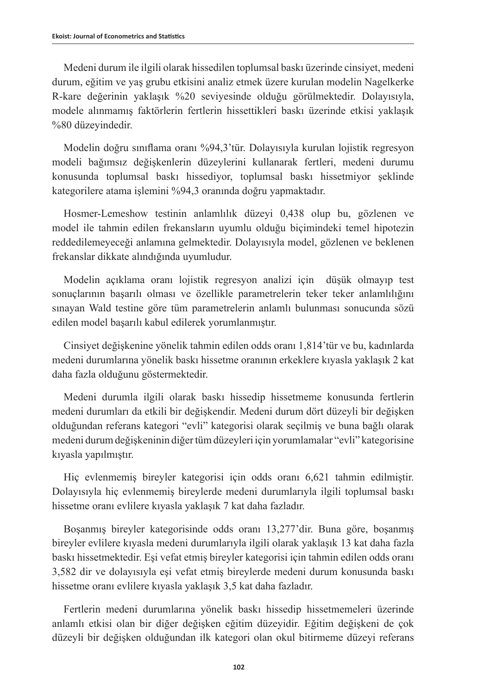Medeni durum ile ilgili olarak hissedilen toplumsal baskı üzerinde cinsiyet, medeni durum, eğitim ve yaş grubu etkisini analiz etmek üzere kurulan modelin Nagelkerke R-kare değerinin yaklaşık %20 seviyesinde olduğu görülmektedir. Dolayısıyla, modele alınmamış faktörlerin fertlerin hissettikleri baskı üzerinde etkisi yaklaşık %80 düzeyindedir.

Modelin doğru sınıflama oranı %94,3'tür. Dolayısıyla kurulan lojistik regresyon modeli bağımsız değişkenlerin düzeylerini kullanarak fertleri, medeni durumu konusunda toplumsal baskı hissediyor, toplumsal baskı hissetmiyor şeklinde kategorilere atama işlemini %94,3 oranında doğru yapmaktadır.

Hosmer-Lemeshow testinin anlamlılık düzeyi 0,438 olup bu, gözlenen ve model ile tahmin edilen frekansların uyumlu olduğu biçimindeki temel hipotezin reddedilemeyeceği anlamına gelmektedir. Dolayısıyla model, gözlenen ve beklenen frekanslar dikkate alındığında uyumludur.

Modelin açıklama oranı lojistik regresyon analizi için düşük olmayıp test sonuçlarının başarılı olması ve özellikle parametrelerin teker teker anlamlılığını sınayan Wald testine göre tüm parametrelerin anlamlı bulunması sonucunda sözü edilen model başarılı kabul edilerek yorumlanmıştır.

Cinsiyet değişkenine yönelik tahmin edilen odds oranı 1,814'tür ve bu, kadınlarda medeni durumlarına yönelik baskı hissetme oranının erkeklere kıyasla yaklaşık 2 kat daha fazla olduğunu göstermektedir.

Medeni durumla ilgili olarak baskı hissedip hissetmeme konusunda fertlerin medeni durumları da etkili bir değişkendir. Medeni durum dört düzeyli bir değişken olduğundan referans kategori "evli" kategorisi olarak seçilmiş ve buna bağlı olarak medeni durum değişkeninin diğer tüm düzeyleri için yorumlamalar "evli" kategorisine kıyasla yapılmıştır.

Hiç evlenmemiş bireyler kategorisi için odds oranı 6,621 tahmin edilmiştir. Dolayısıyla hiç evlenmemiş bireylerde medeni durumlarıyla ilgili toplumsal baskı hissetme oranı evlilere kıyasla yaklaşık 7 kat daha fazladır.

Boşanmış bireyler kategorisinde odds oranı 13,277'dir. Buna göre, boşanmış bireyler evlilere kıyasla medeni durumlarıyla ilgili olarak yaklaşık 13 kat daha fazla baskı hissetmektedir. Eşi vefat etmiş bireyler kategorisi için tahmin edilen odds oranı 3,582 dir ve dolayısıyla eşi vefat etmiş bireylerde medeni durum konusunda baskı hissetme oranı evlilere kıyasla yaklaşık 3,5 kat daha fazladır.

Fertlerin medeni durumlarına yönelik baskı hissedip hissetmemeleri üzerinde anlamlı etkisi olan bir diğer değişken eğitim düzeyidir. Eğitim değişkeni de çok düzeyli bir değişken olduğundan ilk kategori olan okul bitirmeme düzeyi referans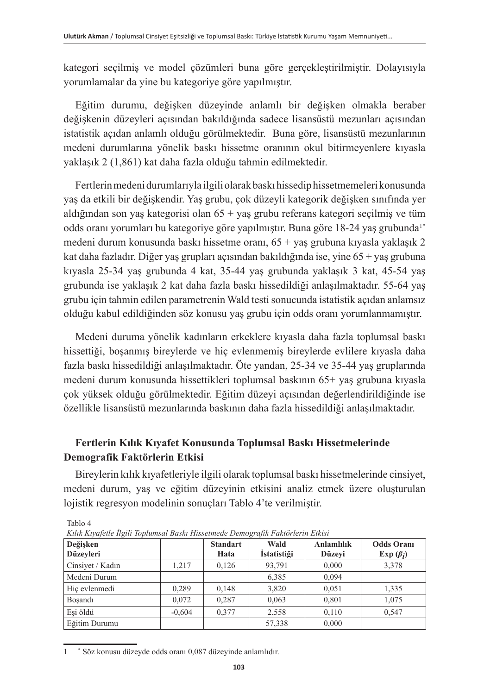kategori seçilmiş ve model çözümleri buna göre gerçekleştirilmiştir. Dolayısıyla yorumlamalar da yine bu kategoriye göre yapılmıştır.

Eğitim durumu, değişken düzeyinde anlamlı bir değişken olmakla beraber değişkenin düzeyleri açısından bakıldığında sadece lisansüstü mezunları açısından istatistik açıdan anlamlı olduğu görülmektedir. Buna göre, lisansüstü mezunlarının medeni durumlarına yönelik baskı hissetme oranının okul bitirmeyenlere kıyasla yaklaşık 2 (1,861) kat daha fazla olduğu tahmin edilmektedir.

Fertlerin medeni durumlarıyla ilgili olarak baskı hissedip hissetmemeleri konusunda yaş da etkili bir değişkendir. Yaş grubu, çok düzeyli kategorik değişken sınıfında yer aldığından son yaş kategorisi olan 65 + yaş grubu referans kategori seçilmiş ve tüm odds oranı yorumları bu kategoriye göre yapılmıştır. Buna göre 18-24 yaş grubunda<sup>1\*</sup> medeni durum konusunda baskı hissetme oranı,  $65 + \gamma$ aş grubuna kıyasla yaklaşık 2 kat daha fazladır. Diğer yaş grupları açısından bakıldığında ise, yine 65 + yaş grubuna kıyasla 25-34 yaş grubunda 4 kat, 35-44 yaş grubunda yaklaşık 3 kat, 45-54 yaş grubunda ise yaklaşık 2 kat daha fazla baskı hissedildiği anlaşılmaktadır. 55-64 yaş grubu için tahmin edilen parametrenin Wald testi sonucunda istatistik açıdan anlamsız olduğu kabul edildiğinden söz konusu yaş grubu için odds oranı yorumlanmamıştır.

Medeni duruma yönelik kadınların erkeklere kıyasla daha fazla toplumsal baskı hissettiği, boşanmış bireylerde ve hiç evlenmemiş bireylerde evlilere kıyasla daha fazla baskı hissedildiği anlaşılmaktadır. Öte yandan, 25-34 ve 35-44 yaş gruplarında medeni durum konusunda hissettikleri toplumsal baskının 65+ yaş grubuna kıyasla çok yüksek olduğu görülmektedir. Eğitim düzeyi açısından değerlendirildiğinde ise özellikle lisansüstü mezunlarında baskının daha fazla hissedildiği anlaşılmaktadır.

### **Fertlerin Kılık Kıyafet Konusunda Toplumsal Baskı Hissetmelerinde Demografik Faktörlerin Etkisi**

Bireylerin kılık kıyafetleriyle ilgili olarak toplumsal baskı hissetmelerinde cinsiyet, medeni durum, yaş ve eğitim düzeyinin etkisini analiz etmek üzere oluşturulan lojistik regresyon modelinin sonuçları Tablo 4'te verilmiştir.

| Kilik Kiyafetle Ilgili Toplumsal Baski Hissetmede Demografik Faktorlerin Etkisi |          |                         |                            |                      |                                      |  |  |
|---------------------------------------------------------------------------------|----------|-------------------------|----------------------------|----------------------|--------------------------------------|--|--|
| Değişken<br><b>Düzevleri</b>                                                    |          | <b>Standart</b><br>Hata | Wald<br><i>İstatistiği</i> | Anlamlılık<br>Düzevi | <b>Odds Orani</b><br>Exp $(\beta_i)$ |  |  |
| Cinsiyet / Kadın                                                                | 1.217    | 0.126                   | 93.791                     | 0,000                | 3,378                                |  |  |
| Medeni Durum                                                                    |          |                         | 6,385                      | 0.094                |                                      |  |  |
| Hic evlenmedi                                                                   | 0.289    | 0.148                   | 3,820                      | 0.051                | 1,335                                |  |  |
| Bosand <sub>1</sub>                                                             | 0.072    | 0.287                   | 0,063                      | 0,801                | 1.075                                |  |  |
| Esi öldü                                                                        | $-0.604$ | 0.377                   | 2,558                      | 0.110                | 0.547                                |  |  |
| Eğitim Durumu                                                                   |          |                         | 57,338                     | 0.000                |                                      |  |  |

*Kılık Kıyafetle İlgili Toplumsal Baskı Hissetmede Demografik Faktörlerin Etkisi*

Tablo 4

 $\mathbf 1$ Söz konusu düzeyde odds oranı 0,087 düzeyinde anlamlıdır.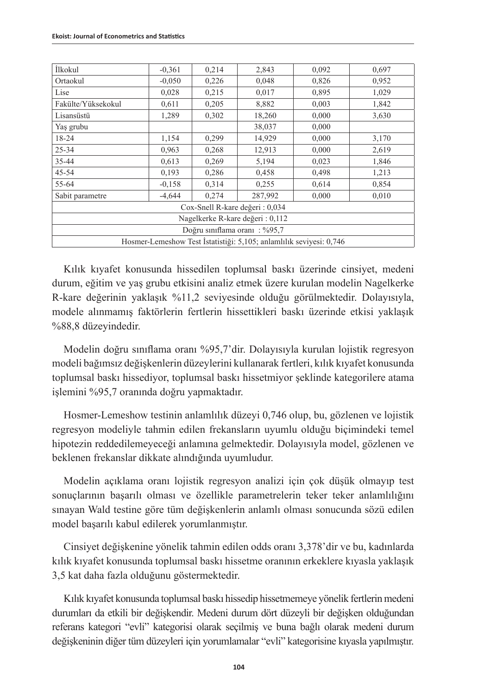| İlkokul                                                             | $-0,361$ | 0,214 | 2,843   | 0,092 | 0,697 |  |  |
|---------------------------------------------------------------------|----------|-------|---------|-------|-------|--|--|
| Ortaokul                                                            | $-0.050$ | 0,226 | 0,048   | 0,826 | 0,952 |  |  |
| Lise                                                                | 0,028    | 0,215 | 0,017   | 0,895 | 1,029 |  |  |
| Fakülte/Yüksekokul                                                  | 0,611    | 0,205 | 8,882   | 0,003 | 1,842 |  |  |
| Lisansüstü                                                          | 1,289    | 0,302 | 18,260  | 0,000 | 3,630 |  |  |
| Yaş grubu                                                           |          |       | 38,037  | 0,000 |       |  |  |
| 18-24                                                               | 1,154    | 0,299 | 14,929  | 0,000 | 3,170 |  |  |
| $25 - 34$                                                           | 0,963    | 0,268 | 12,913  | 0,000 | 2,619 |  |  |
| 35-44                                                               | 0,613    | 0,269 | 5,194   | 0,023 | 1,846 |  |  |
| 45-54                                                               | 0,193    | 0,286 | 0,458   | 0,498 | 1,213 |  |  |
| 55-64                                                               | $-0,158$ | 0,314 | 0,255   | 0,614 | 0,854 |  |  |
| Sabit parametre                                                     | $-4.644$ | 0,274 | 287,992 | 0,000 | 0,010 |  |  |
| Cox-Snell R-kare değeri: 0,034                                      |          |       |         |       |       |  |  |
| Nagelkerke R-kare değeri: 0,112                                     |          |       |         |       |       |  |  |
| Doğru sınıflama oranı: %95,7                                        |          |       |         |       |       |  |  |
| Hosmer-Lemeshow Test İstatistiği: 5,105; anlamlılık seviyesi: 0,746 |          |       |         |       |       |  |  |

Kılık kıyafet konusunda hissedilen toplumsal baskı üzerinde cinsiyet, medeni durum, eğitim ve yaş grubu etkisini analiz etmek üzere kurulan modelin Nagelkerke R-kare değerinin yaklaşık %11,2 seviyesinde olduğu görülmektedir. Dolayısıyla, modele alınmamış faktörlerin fertlerin hissettikleri baskı üzerinde etkisi yaklaşık %88,8 düzeyindedir.

Modelin doğru sınıflama oranı %95,7'dir. Dolayısıyla kurulan lojistik regresyon modeli bağımsız değişkenlerin düzeylerini kullanarak fertleri, kılık kıyafet konusunda toplumsal baskı hissediyor, toplumsal baskı hissetmiyor şeklinde kategorilere atama işlemini %95,7 oranında doğru yapmaktadır.

Hosmer-Lemeshow testinin anlamlılık düzeyi 0,746 olup, bu, gözlenen ve lojistik regresyon modeliyle tahmin edilen frekansların uyumlu olduğu biçimindeki temel hipotezin reddedilemeyeceği anlamına gelmektedir. Dolayısıyla model, gözlenen ve beklenen frekanslar dikkate alındığında uyumludur.

Modelin açıklama oranı lojistik regresyon analizi için çok düşük olmayıp test sonuçlarının başarılı olması ve özellikle parametrelerin teker teker anlamlılığını sınayan Wald testine göre tüm değişkenlerin anlamlı olması sonucunda sözü edilen model başarılı kabul edilerek yorumlanmıştır.

Cinsiyet değişkenine yönelik tahmin edilen odds oranı 3,378'dir ve bu, kadınlarda kılık kıyafet konusunda toplumsal baskı hissetme oranının erkeklere kıyasla yaklaşık 3,5 kat daha fazla olduğunu göstermektedir.

Kılık kıyafet konusunda toplumsal baskı hissedip hissetmemeye yönelik fertlerin medeni durumları da etkili bir değişkendir. Medeni durum dört düzeyli bir değişken olduğundan referans kategori "evli" kategorisi olarak seçilmiş ve buna bağlı olarak medeni durum değişkeninin diğer tüm düzeyleri için yorumlamalar "evli" kategorisine kıyasla yapılmıştır.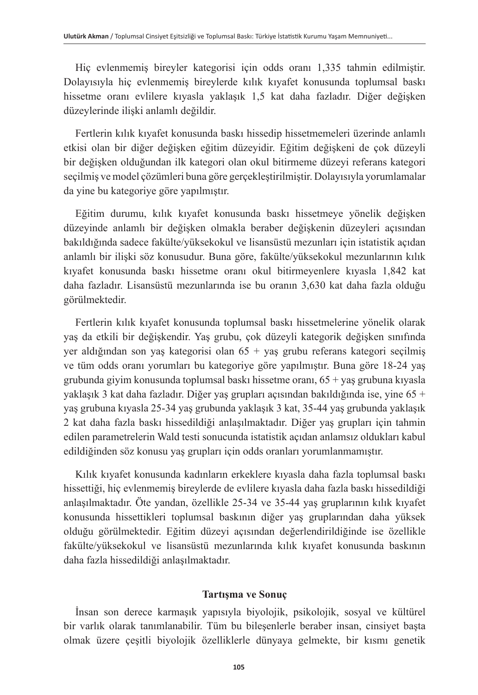Hiç evlenmemiş bireyler kategorisi için odds oranı 1,335 tahmin edilmiştir. Dolayısıyla hiç evlenmemiş bireylerde kılık kıyafet konusunda toplumsal baskı hissetme oranı evlilere kıyasla yaklaşık 1,5 kat daha fazladır. Diğer değişken düzeylerinde ilişki anlamlı değildir.

Fertlerin kılık kıyafet konusunda baskı hissedip hissetmemeleri üzerinde anlamlı etkisi olan bir diğer değişken eğitim düzeyidir. Eğitim değişkeni de çok düzeyli bir değişken olduğundan ilk kategori olan okul bitirmeme düzeyi referans kategori seçilmiş ve model çözümleri buna göre gerçekleştirilmiştir. Dolayısıyla yorumlamalar da yine bu kategoriye göre yapılmıştır.

Eğitim durumu, kılık kıyafet konusunda baskı hissetmeye yönelik değişken düzeyinde anlamlı bir değişken olmakla beraber değişkenin düzeyleri açısından bakıldığında sadece fakülte/yüksekokul ve lisansüstü mezunları için istatistik açıdan anlamlı bir ilişki söz konusudur. Buna göre, fakülte/yüksekokul mezunlarının kılık kıyafet konusunda baskı hissetme oranı okul bitirmeyenlere kıyasla 1,842 kat daha fazladır. Lisansüstü mezunlarında ise bu oranın 3,630 kat daha fazla olduğu görülmektedir.

Fertlerin kılık kıyafet konusunda toplumsal baskı hissetmelerine yönelik olarak yaş da etkili bir değişkendir. Yaş grubu, çok düzeyli kategorik değişken sınıfında yer aldığından son yaş kategorisi olan 65 + yaş grubu referans kategori seçilmiş ve tüm odds oranı yorumları bu kategoriye göre yapılmıştır. Buna göre 18-24 yaş grubunda giyim konusunda toplumsal baskı hissetme oranı, 65 + yaş grubuna kıyasla yaklaşık 3 kat daha fazladır. Diğer yaş grupları açısından bakıldığında ise, yine 65 + yaş grubuna kıyasla 25-34 yaş grubunda yaklaşık 3 kat, 35-44 yaş grubunda yaklaşık 2 kat daha fazla baskı hissedildiği anlaşılmaktadır. Diğer yaş grupları için tahmin edilen parametrelerin Wald testi sonucunda istatistik açıdan anlamsız oldukları kabul edildiğinden söz konusu yaş grupları için odds oranları yorumlanmamıştır.

Kılık kıyafet konusunda kadınların erkeklere kıyasla daha fazla toplumsal baskı hissettiği, hiç evlenmemiş bireylerde de evlilere kıyasla daha fazla baskı hissedildiği anlaşılmaktadır. Öte yandan, özellikle 25-34 ve 35-44 yaş gruplarının kılık kıyafet konusunda hissettikleri toplumsal baskının diğer yaş gruplarından daha yüksek olduğu görülmektedir. Eğitim düzeyi açısından değerlendirildiğinde ise özellikle fakülte/yüksekokul ve lisansüstü mezunlarında kılık kıyafet konusunda baskının daha fazla hissedildiği anlaşılmaktadır.

#### **Tartışma ve Sonuç**

İnsan son derece karmaşık yapısıyla biyolojik, psikolojik, sosyal ve kültürel bir varlık olarak tanımlanabilir. Tüm bu bileşenlerle beraber insan, cinsiyet başta olmak üzere çeşitli biyolojik özelliklerle dünyaya gelmekte, bir kısmı genetik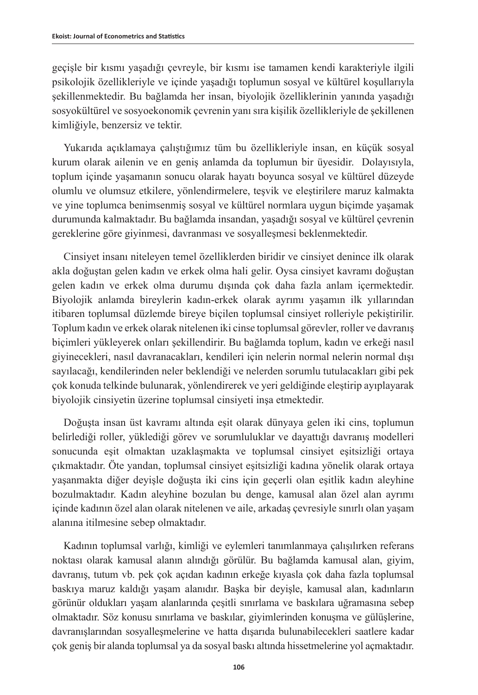geçişle bir kısmı yaşadığı çevreyle, bir kısmı ise tamamen kendi karakteriyle ilgili psikolojik özellikleriyle ve içinde yaşadığı toplumun sosyal ve kültürel koşullarıyla şekillenmektedir. Bu bağlamda her insan, biyolojik özelliklerinin yanında yaşadığı sosyokültürel ve sosyoekonomik çevrenin yanı sıra kişilik özellikleriyle de şekillenen kimliğiyle, benzersiz ve tektir.

Yukarıda açıklamaya çalıştığımız tüm bu özellikleriyle insan, en küçük sosyal kurum olarak ailenin ve en geniş anlamda da toplumun bir üyesidir. Dolayısıyla, toplum içinde yaşamanın sonucu olarak hayatı boyunca sosyal ve kültürel düzeyde olumlu ve olumsuz etkilere, yönlendirmelere, teşvik ve eleştirilere maruz kalmakta ve yine toplumca benimsenmiş sosyal ve kültürel normlara uygun biçimde yaşamak durumunda kalmaktadır. Bu bağlamda insandan, yaşadığı sosyal ve kültürel çevrenin gereklerine göre giyinmesi, davranması ve sosyalleşmesi beklenmektedir.

Cinsiyet insanı niteleyen temel özelliklerden biridir ve cinsiyet denince ilk olarak akla doğuştan gelen kadın ve erkek olma hali gelir. Oysa cinsiyet kavramı doğuştan gelen kadın ve erkek olma durumu dışında çok daha fazla anlam içermektedir. Biyolojik anlamda bireylerin kadın-erkek olarak ayrımı yaşamın ilk yıllarından itibaren toplumsal düzlemde bireye biçilen toplumsal cinsiyet rolleriyle pekiştirilir. Toplum kadın ve erkek olarak nitelenen iki cinse toplumsal görevler, roller ve davranış biçimleri yükleyerek onları şekillendirir. Bu bağlamda toplum, kadın ve erkeği nasıl giyinecekleri, nasıl davranacakları, kendileri için nelerin normal nelerin normal dışı sayılacağı, kendilerinden neler beklendiği ve nelerden sorumlu tutulacakları gibi pek çok konuda telkinde bulunarak, yönlendirerek ve yeri geldiğinde eleştirip ayıplayarak biyolojik cinsiyetin üzerine toplumsal cinsiyeti inşa etmektedir.

Doğuşta insan üst kavramı altında eşit olarak dünyaya gelen iki cins, toplumun belirlediği roller, yüklediği görev ve sorumluluklar ve dayattığı davranış modelleri sonucunda eşit olmaktan uzaklaşmakta ve toplumsal cinsiyet eşitsizliği ortaya çıkmaktadır. Öte yandan, toplumsal cinsiyet eşitsizliği kadına yönelik olarak ortaya yaşanmakta diğer deyişle doğuşta iki cins için geçerli olan eşitlik kadın aleyhine bozulmaktadır. Kadın aleyhine bozulan bu denge, kamusal alan özel alan ayrımı içinde kadının özel alan olarak nitelenen ve aile, arkadaş çevresiyle sınırlı olan yaşam alanına itilmesine sebep olmaktadır.

Kadının toplumsal varlığı, kimliği ve eylemleri tanımlanmaya çalışılırken referans noktası olarak kamusal alanın alındığı görülür. Bu bağlamda kamusal alan, giyim, davranış, tutum vb. pek çok açıdan kadının erkeğe kıyasla çok daha fazla toplumsal baskıya maruz kaldığı yaşam alanıdır. Başka bir deyişle, kamusal alan, kadınların görünür oldukları yaşam alanlarında çeşitli sınırlama ve baskılara uğramasına sebep olmaktadır. Söz konusu sınırlama ve baskılar, giyimlerinden konuşma ve gülüşlerine, davranışlarından sosyalleşmelerine ve hatta dışarıda bulunabilecekleri saatlere kadar çok geniş bir alanda toplumsal ya da sosyal baskı altında hissetmelerine yol açmaktadır.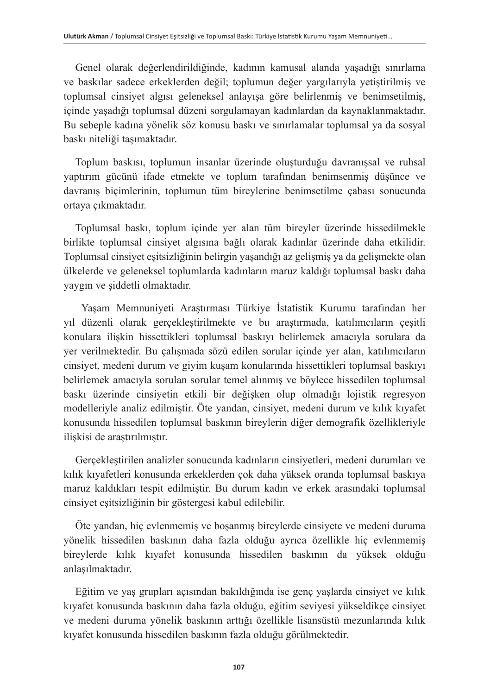Genel olarak değerlendirildiğinde, kadının kamusal alanda yaşadığı sınırlama ve baskılar sadece erkeklerden değil; toplumun değer yargılarıyla yetiştirilmiş ve toplumsal cinsiyet algısı geleneksel anlayışa göre belirlenmiş ve benimsetilmiş, içinde yaşadığı toplumsal düzeni sorgulamayan kadınlardan da kaynaklanmaktadır. Bu sebeple kadına yönelik söz konusu baskı ve sınırlamalar toplumsal ya da sosyal baskı niteliği taşımaktadır.

Toplum baskısı, toplumun insanlar üzerinde oluşturduğu davranışsal ve ruhsal yaptırım gücünü ifade etmekte ve toplum tarafından benimsenmiş düşünce ve davranış biçimlerinin, toplumun tüm bireylerine benimsetilme çabası sonucunda ortaya çıkmaktadır.

Toplumsal baskı, toplum içinde yer alan tüm bireyler üzerinde hissedilmekle birlikte toplumsal cinsiyet algısına bağlı olarak kadınlar üzerinde daha etkilidir. Toplumsal cinsiyet eşitsizliğinin belirgin yaşandığı az gelişmiş ya da gelişmekte olan ülkelerde ve geleneksel toplumlarda kadınların maruz kaldığı toplumsal baskı daha yaygın ve şiddetli olmaktadır.

Yaşam Memnuniyeti Araştırması Türkiye İstatistik Kurumu tarafından her yıl düzenli olarak gerçekleştirilmekte ve bu araştırmada, katılımcıların çeşitli konulara ilişkin hissettikleri toplumsal baskıyı belirlemek amacıyla sorulara da yer verilmektedir. Bu çalışmada sözü edilen sorular içinde yer alan, katılımcıların cinsiyet, medeni durum ve giyim kuşam konularında hissettikleri toplumsal baskıyı belirlemek amacıyla sorulan sorular temel alınmış ve böylece hissedilen toplumsal baskı üzerinde cinsiyetin etkili bir değişken olup olmadığı lojistik regresyon modelleriyle analiz edilmiştir. Öte yandan, cinsiyet, medeni durum ve kılık kıyafet konusunda hissedilen toplumsal baskının bireylerin diğer demografik özellikleriyle ilişkisi de araştırılmıştır.

Gerçekleştirilen analizler sonucunda kadınların cinsiyetleri, medeni durumları ve kılık kıyafetleri konusunda erkeklerden çok daha yüksek oranda toplumsal baskıya maruz kaldıkları tespit edilmiştir. Bu durum kadın ve erkek arasındaki toplumsal cinsiyet eşitsizliğinin bir göstergesi kabul edilebilir.

Öte yandan, hiç evlenmemiş ve boşanmış bireylerde cinsiyete ve medeni duruma yönelik hissedilen baskının daha fazla olduğu ayrıca özellikle hiç evlenmemiş bireylerde kılık kıyafet konusunda hissedilen baskının da yüksek olduğu anlaşılmaktadır.

Eğitim ve yaş grupları açısından bakıldığında ise genç yaşlarda cinsiyet ve kılık kıyafet konusunda baskının daha fazla olduğu, eğitim seviyesi yükseldikçe cinsiyet ve medeni duruma yönelik baskının arttığı özellikle lisansüstü mezunlarında kılık kıyafet konusunda hissedilen baskının fazla olduğu görülmektedir.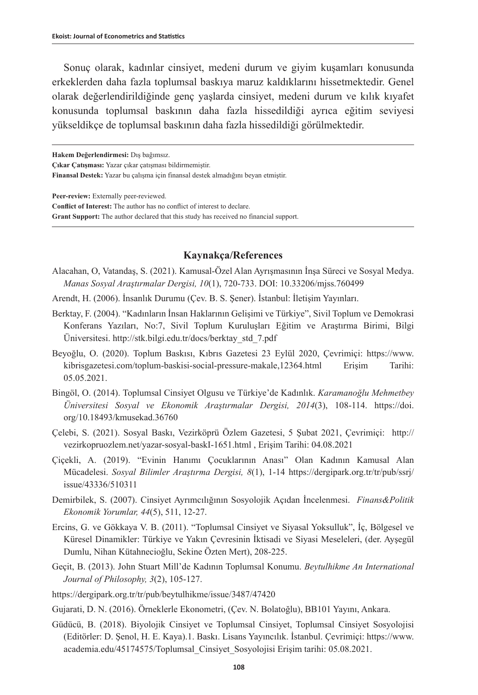Sonuç olarak, kadınlar cinsiyet, medeni durum ve giyim kuşamları konusunda erkeklerden daha fazla toplumsal baskıya maruz kaldıklarını hissetmektedir. Genel olarak değerlendirildiğinde genç yaşlarda cinsiyet, medeni durum ve kılık kıyafet konusunda toplumsal baskının daha fazla hissedildiği ayrıca eğitim seviyesi yükseldikçe de toplumsal baskının daha fazla hissedildiği görülmektedir.

**Hakem Değerlendirmesi:** Dış bağımsız.

**Çıkar Çatışması:** Yazar çıkar çatışması bildirmemiştir.

**Finansal Destek:** Yazar bu çalışma için finansal destek almadığını beyan etmiştir.

**Peer-review:** Externally peer-reviewed.

**Conflict of Interest:** The author has no conflict of interest to declare.

**Grant Support:** The author declared that this study has received no financial support.

#### **Kaynakça/References**

- Alacahan, O, Vatandaş, S. (2021). Kamusal-Özel Alan Ayrışmasının İnşa Süreci ve Sosyal Medya. *Manas Sosyal Araştırmalar Dergisi, 10*(1), 720-733. DOI: 10.33206/mjss.760499
- Arendt, H. (2006). İnsanlık Durumu (Çev. B. S. Şener). İstanbul: İletişim Yayınları.
- Berktay, F. (2004). "Kadınların İnsan Haklarının Gelişimi ve Türkiye", Sivil Toplum ve Demokrasi Konferans Yazıları, No:7, Sivil Toplum Kuruluşları Eğitim ve Araştırma Birimi, Bilgi Üniversitesi. [http://stk.bilgi.edu.tr/docs/berktay\\_std\\_7.pdf](http://stk.bilgi.edu.tr/docs/berktay_std_7.pdf)
- Beyoğlu, O. (2020). Toplum Baskısı, Kıbrıs Gazetesi 23 Eylül 2020, Çevrimiçi: [https://www.](https://www.kibrisgazetesi.com/toplum-baskisi-social-pressure-makale,12364.html) [kibrisgazetesi.com/toplum-baskisi-social-pressure-makale,12364.html](https://www.kibrisgazetesi.com/toplum-baskisi-social-pressure-makale,12364.html) Erişim Tarihi: 05.05.2021.
- Bingöl, O. (2014). Toplumsal Cinsiyet Olgusu ve Türkiye'de Kadınlık. *Karamanoğlu Mehmetbey Üniversitesi Sosyal ve Ekonomik Araştırmalar Dergisi, 2014*(3), 108-114. [https://doi.](https://doi.org/10.18493/kmusekad.36760) [org/10.18493/kmusekad.36760](https://doi.org/10.18493/kmusekad.36760)
- Çelebi, S. (2021). Sosyal Baskı, Vezirköprü Özlem Gazetesi, 5 Şubat 2021, Çevrimiçi: [http://](http://vezirkopruozlem.net/yazar-sosyal-baskI-1651.html) [vezirkopruozlem.net/yazar-sosyal-baskI-1651.html](http://vezirkopruozlem.net/yazar-sosyal-baskI-1651.html) , Erişim Tarihi: 04.08.2021
- Çiçekli, A. (2019). "Evinin Hanımı Çocuklarının Anası" Olan Kadının Kamusal Alan Mücadelesi. *Sosyal Bilimler Araştırma Dergisi, 8*(1), 1-14 [https://dergipark.org.tr/tr/pub/ssrj/](https://dergipark.org.tr/tr/pub/ssrj/issue/43336/510311) [issue/43336/510311](https://dergipark.org.tr/tr/pub/ssrj/issue/43336/510311)
- Demirbilek, S. (2007). Cinsiyet Ayrımcılığının Sosyolojik Açıdan İncelenmesi. *Finans&Politik Ekonomik Yorumlar, 44*(5), 511, 12-27.
- Ercins, G. ve Gökkaya V. B. (2011). "Toplumsal Cinsiyet ve Siyasal Yoksulluk", İç, Bölgesel ve Küresel Dinamikler: Türkiye ve Yakın Çevresinin İktisadi ve Siyasi Meseleleri, (der. Ayşegül Dumlu, Nihan Kütahnecioğlu, Sekine Özten Mert), 208-225.
- Geçit, B. (2013). John Stuart Mill'de Kadının Toplumsal Konumu. *Beytulhikme An International Journal of Philosophy, 3*(2), 105-127.
- <https://dergipark.org.tr/tr/pub/beytulhikme/issue/3487/47420>
- Gujarati, D. N. (2016). Örneklerle Ekonometri, (Çev. N. Bolatoğlu), BB101 Yayını, Ankara.
- Güdücü, B. (2018). Biyolojik Cinsiyet ve Toplumsal Cinsiyet, Toplumsal Cinsiyet Sosyolojisi (Editörler: D. Şenol, H. E. Kaya).1. Baskı. Lisans Yayıncılık. İstanbul. Çevrimiçi: [https://www.](https://www.academia.edu/45174575/Toplumsal_Cinsiyet_Sosyolojisi) [academia.edu/45174575/Toplumsal\\_Cinsiyet\\_Sosyolojisi](https://www.academia.edu/45174575/Toplumsal_Cinsiyet_Sosyolojisi) Erişim tarihi: 05.08.2021.